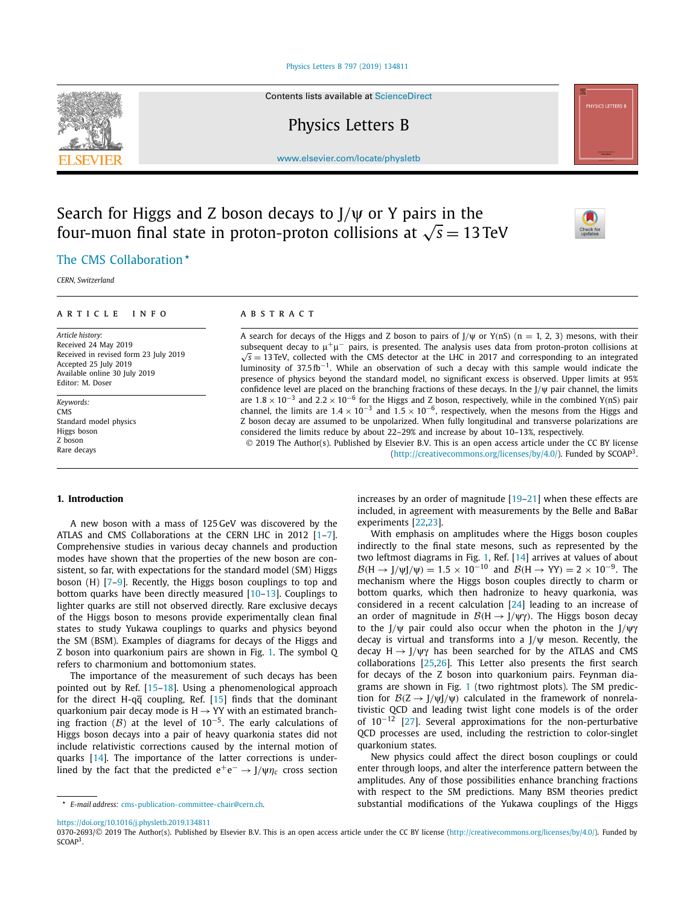#### [Physics Letters B 797 \(2019\) 134811](https://doi.org/10.1016/j.physletb.2019.134811)

Contents lists available at [ScienceDirect](http://www.ScienceDirect.com/)

Physics Letters B

[www.elsevier.com/locate/physletb](http://www.elsevier.com/locate/physletb)



# Search for Higgs and Z boson decays to J*/*ψ or Y pairs in the four-muon final state in proton-proton collisions at  $\sqrt{s} = 13$  TeV

# .The CMS [Collaboration](#page-5-0) *-*

*CERN, Switzerland*

#### A R T I C L E I N F O A B S T R A C T

*Article history:* Received 24 May 2019 Received in revised form 23 July 2019 Accepted 25 July 2019 Available online 30 July 2019 Editor: M. Doser

*Keywords:* CMS Standard model physics Higgs boson Z boson Rare decays

<sup>A</sup> search for decays of the Higgs and Z boson to pairs of <sup>J</sup>*/*ψ or <sup>Y</sup>*(*nS*)* (n = 1, 2, 3) mesons, with their subsequent decay to  $\mu^+\mu^-$  pairs, is presented. The analysis uses data from proton-proton collisions at  $\sqrt{s}$  = 13 TeV, collected with the CMS detector at the LHC in 2017 and corresponding to an integrated luminosity of 37.5 fb<sup>−</sup>1. While an observation of such a decay with this sample would indicate the presence of physics beyond the standard model, no significant excess is observed. Upper limits at 95% confidence level are placed on the branching fractions of these decays. In the J*/*ψ pair channel, the limits are <sup>1</sup>*.*<sup>8</sup> × <sup>10</sup>−<sup>3</sup> and <sup>2</sup>*.*<sup>2</sup> × <sup>10</sup>−<sup>6</sup> for the Higgs and Z boson, respectively, while in the combined <sup>Y</sup>*(*nS*)* pair channel, the limits are  $1.4 \times 10^{-3}$  and  $1.5 \times 10^{-6}$ , respectively, when the mesons from the Higgs and Z boson decay are assumed to be unpolarized. When fully longitudinal and transverse polarizations are considered the limits reduce by about 22–29% and increase by about 10–13%, respectively.

© 2019 The Author(s). Published by Elsevier B.V. This is an open access article under the CC BY license [\(http://creativecommons.org/licenses/by/4.0/\)](http://creativecommons.org/licenses/by/4.0/). Funded by SCOAP3.

#### **1. Introduction**

A new boson with a mass of 125 GeV was discovered by the ATLAS and CMS Collaborations at the CERN LHC in 2012 [\[1–7\]](#page-4-0). Comprehensive studies in various decay channels and production modes have shown that the properties of the new boson are consistent, so far, with expectations for the standard model (SM) Higgs boson (H) [\[7–9\]](#page-4-0). Recently, the Higgs boson couplings to top and bottom quarks have been directly measured [\[10–13\]](#page-4-0). Couplings to lighter quarks are still not observed directly. Rare exclusive decays of the Higgs boson to mesons provide experimentally clean final states to study Yukawa couplings to quarks and physics beyond the SM (BSM). Examples of diagrams for decays of the Higgs and Z boson into quarkonium pairs are shown in Fig. [1.](#page-1-0) The symbol Q refers to charmonium and bottomonium states.

The importance of the measurement of such decays has been pointed out by Ref. [\[15–18\]](#page-4-0). Using a phenomenological approach for the direct H-q $\overline{q}$  coupling, Ref. [\[15\]](#page-4-0) finds that the dominant quarkonium pair decay mode is  $H \rightarrow YY$  with an estimated branching fraction ( $\beta$ ) at the level of 10<sup>-5</sup>. The early calculations of Higgs boson decays into a pair of heavy quarkonia states did not include relativistic corrections caused by the internal motion of quarks [\[14\]](#page-4-0). The importance of the latter corrections is underlined by the fact that the predicted  $e^+e^- \rightarrow J/\psi \eta_c$  cross section increases by an order of magnitude  $[19-21]$  when these effects are included, in agreement with measurements by the Belle and BaBar experiments [\[22,23\]](#page-4-0).

With emphasis on amplitudes where the Higgs boson couples indirectly to the final state mesons, such as represented by the two leftmost diagrams in Fig. [1,](#page-1-0) Ref. [\[14\]](#page-4-0) arrives at values of about  $B(H \to J/\psi J/\psi) = 1.5 \times 10^{-10}$  and  $B(H \to YY) = 2 \times 10^{-9}$ . The mechanism where the Higgs boson couples directly to charm or bottom quarks, which then hadronize to heavy quarkonia, was considered in a recent calculation [\[24\]](#page-4-0) leading to an increase of an order of magnitude in  $\mathcal{B}(H \rightarrow J/\psi\gamma)$ . The Higgs boson decay to the J*/*ψ pair could also occur when the photon in the J*/*ψγ decay is virtual and transforms into a J*/*ψ meson. Recently, the decay <sup>H</sup> → <sup>J</sup>*/*ψγ has been searched for by the ATLAS and CMS collaborations [\[25,26\]](#page-4-0). This Letter also presents the first search for decays of the Z boson into quarkonium pairs. Feynman diagrams are shown in Fig. [1](#page-1-0) (two rightmost plots). The SM prediction for  $B(Z \rightarrow I/\psi I/\psi)$  calculated in the framework of nonrelativistic QCD and leading twist light cone models is of the order of 10−<sup>12</sup> [\[27\]](#page-4-0). Several approximations for the non-perturbative QCD processes are used, including the restriction to color-singlet quarkonium states.

New physics could affect the direct boson couplings or could enter through loops, and alter the interference pattern between the amplitudes. Any of those possibilities enhance branching fractions with respect to the SM predictions. Many BSM theories predict substantial modifications of the Yukawa couplings of the Higgs

0370-2693/© 2019 The Author(s). Published by Elsevier B.V. This is an open access article under the CC BY license [\(http://creativecommons.org/licenses/by/4.0/\)](http://creativecommons.org/licenses/by/4.0/). Funded by SCOAP<sup>3</sup>.

*<sup>-</sup> E-mail address:* [cms-publication-committee-chair@cern.ch.](mailto:cms-publication-committee-chair@cern.ch)

<https://doi.org/10.1016/j.physletb.2019.134811>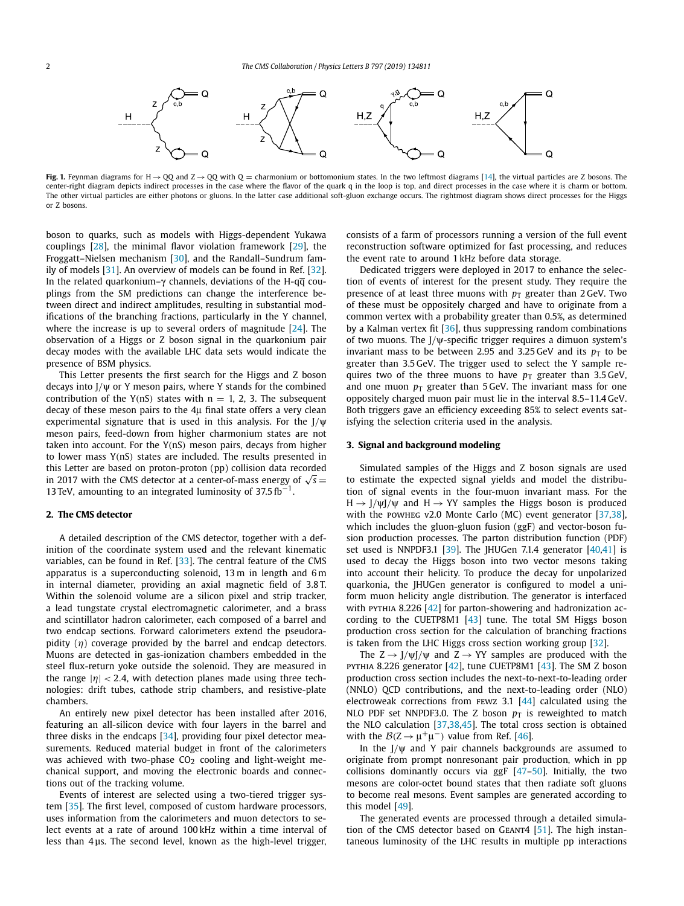<span id="page-1-0"></span>

**Fig. 1.** Feynman diagrams for H  $\rightarrow$  QQ and Z  $\rightarrow$  QQ with Q = charmonium or bottomonium states. In the two leftmost diagrams [\[14\]](#page-4-0), the virtual particles are Z bosons. The center-right diagram depicts indirect processes in the case where the flavor of the quark q in the loop is top, and direct processes in the case where it is charm or bottom. The other virtual particles are either photons or gluons. In the latter case additional soft-gluon exchange occurs. The rightmost diagram shows direct processes for the Higgs or Z bosons.

boson to quarks, such as models with Higgs-dependent Yukawa couplings [\[28\]](#page-4-0), the minimal flavor violation framework [\[29\]](#page-4-0), the Froggatt–Nielsen mechanism [\[30\]](#page-4-0), and the Randall–Sundrum family of models [\[31\]](#page-4-0). An overview of models can be found in Ref. [\[32\]](#page-4-0). In the related quarkonium–γ channels, deviations of the H-q $\overline{q}$  couplings from the SM predictions can change the interference between direct and indirect amplitudes, resulting in substantial modifications of the branching fractions, particularly in the Y channel, where the increase is up to several orders of magnitude [\[24\]](#page-4-0). The observation of a Higgs or Z boson signal in the quarkonium pair decay modes with the available LHC data sets would indicate the presence of BSM physics.

This Letter presents the first search for the Higgs and Z boson decays into J*/*ψ or Y meson pairs, where Y stands for the combined contribution of the  $Y(nS)$  states with  $n = 1, 2, 3$ . The subsequent decay of these meson pairs to the 4μ final state offers a very clean experimental signature that is used in this analysis. For the J*/*ψ meson pairs, feed-down from higher charmonium states are not taken into account. For the Y*(*nS*)* meson pairs, decays from higher to lower mass Y*(*nS*)* states are included. The results presented in this Letter are based on proton-proton (pp) collision data recorded in 2017 with the CMS detector at a center-of-mass energy of  $\sqrt{s}$  = 13 TeV, amounting to an integrated luminosity of 37.5  $fb^{-1}$ .

#### **2. The CMS detector**

A detailed description of the CMS detector, together with a definition of the coordinate system used and the relevant kinematic variables, can be found in Ref. [\[33\]](#page-4-0). The central feature of the CMS apparatus is a superconducting solenoid, 13 m in length and 6 m in internal diameter, providing an axial magnetic field of 3.8 T. Within the solenoid volume are a silicon pixel and strip tracker, a lead tungstate crystal electromagnetic calorimeter, and a brass and scintillator hadron calorimeter, each composed of a barrel and two endcap sections. Forward calorimeters extend the pseudorapidity (*η*) coverage provided by the barrel and endcap detectors. Muons are detected in gas-ionization chambers embedded in the steel flux-return yoke outside the solenoid. They are measured in the range  $|\eta|$  < 2.4, with detection planes made using three technologies: drift tubes, cathode strip chambers, and resistive-plate chambers.

An entirely new pixel detector has been installed after 2016, featuring an all-silicon device with four layers in the barrel and three disks in the endcaps [\[34\]](#page-4-0), providing four pixel detector measurements. Reduced material budget in front of the calorimeters was achieved with two-phase  $CO<sub>2</sub>$  cooling and light-weight mechanical support, and moving the electronic boards and connections out of the tracking volume.

Events of interest are selected using a two-tiered trigger system [\[35\]](#page-4-0). The first level, composed of custom hardware processors, uses information from the calorimeters and muon detectors to select events at a rate of around 100 kHz within a time interval of less than 4 μs. The second level, known as the high-level trigger, consists of a farm of processors running a version of the full event reconstruction software optimized for fast processing, and reduces the event rate to around 1 kHz before data storage.

Dedicated triggers were deployed in 2017 to enhance the selection of events of interest for the present study. They require the presence of at least three muons with  $p_T$  greater than 2 GeV. Two of these must be oppositely charged and have to originate from a common vertex with a probability greater than 0.5%, as determined by a Kalman vertex fit [\[36\]](#page-4-0), thus suppressing random combinations of two muons. The J*/*ψ-specific trigger requires a dimuon system's invariant mass to be between 2.95 and 3.25 GeV and its  $p<sub>T</sub>$  to be greater than 3.5 GeV. The trigger used to select the Y sample requires two of the three muons to have  $p_T$  greater than 3.5 GeV, and one muon  $p_T$  greater than 5 GeV. The invariant mass for one oppositely charged muon pair must lie in the interval 8.5–11.4 GeV. Both triggers gave an efficiency exceeding 85% to select events satisfying the selection criteria used in the analysis.

#### **3. Signal and background modeling**

Simulated samples of the Higgs and Z boson signals are used to estimate the expected signal yields and model the distribution of signal events in the four-muon invariant mass. For the  $H \rightarrow I/\Psi I/\Psi$  and  $H \rightarrow YY$  samples the Higgs boson is produced with the POWHEG v2.0 Monte Carlo (MC) event generator [\[37,](#page-4-0)[38\]](#page-5-0), which includes the gluon-gluon fusion (ggF) and vector-boson fusion production processes. The parton distribution function (PDF) set used is NNPDF3.1 [\[39\]](#page-5-0). The JHUGen 7.1.4 generator  $[40,41]$  is used to decay the Higgs boson into two vector mesons taking into account their helicity. To produce the decay for unpolarized quarkonia, the JHUGen generator is configured to model a uniform muon helicity angle distribution. The generator is interfaced with PYTHIA 8.226  $[42]$  for parton-showering and hadronization according to the CUETP8M1 [\[43\]](#page-5-0) tune. The total SM Higgs boson production cross section for the calculation of branching fractions is taken from the LHC Higgs cross section working group [\[32\]](#page-4-0).

The  $Z \rightarrow J/\psi J/\psi$  and  $Z \rightarrow YY$  samples are produced with the pythia 8.226 generator [\[42\]](#page-5-0), tune CUETP8M1 [\[43\]](#page-5-0). The SM Z boson production cross section includes the next-to-next-to-leading order (NNLO) QCD contributions, and the next-to-leading order (NLO) electroweak corrections from  $F_{\text{EWZ}}$  3.1 [\[44\]](#page-5-0) calculated using the NLO PDF set NNPDF3.0. The Z boson  $p<sub>T</sub>$  is reweighted to match the NLO calculation [\[37,](#page-4-0)[38,45\]](#page-5-0). The total cross section is obtained with the  $\mathcal{B}(Z \to \mu^+ \mu^-)$  value from Ref. [\[46\]](#page-5-0).

In the J*/*ψ and Y pair channels backgrounds are assumed to originate from prompt nonresonant pair production, which in pp collisions dominantly occurs via ggF [\[47–50\]](#page-5-0). Initially, the two mesons are color-octet bound states that then radiate soft gluons to become real mesons. Event samples are generated according to this model [\[49\]](#page-5-0).

The generated events are processed through a detailed simula-tion of the CMS detector based on GEANT4 [\[51\]](#page-5-0). The high instantaneous luminosity of the LHC results in multiple pp interactions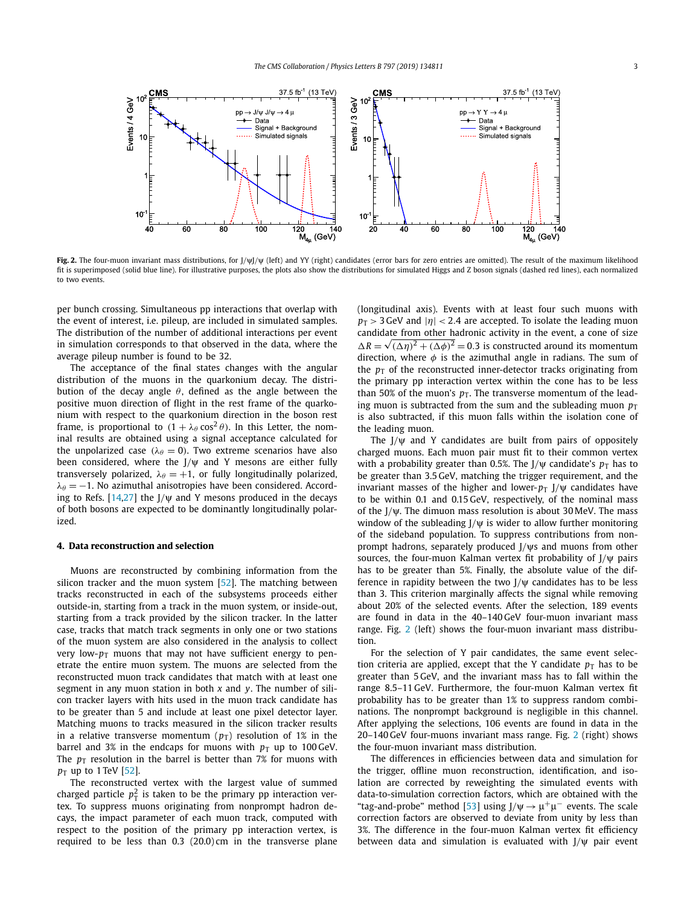<span id="page-2-0"></span>

**Fig. 2.** The four-muon invariant mass distributions, for J*/*ψJ*/*ψ (left) and YY (right) candidates (error bars for zero entries are omitted). The result of the maximum likelihood fit is superimposed (solid blue line). For illustrative purposes, the plots also show the distributions for simulated Higgs and Z boson signals (dashed red lines), each normalized to two events.

per bunch crossing. Simultaneous pp interactions that overlap with the event of interest, i.e. pileup, are included in simulated samples. The distribution of the number of additional interactions per event in simulation corresponds to that observed in the data, where the average pileup number is found to be 32.

The acceptance of the final states changes with the angular distribution of the muons in the quarkonium decay. The distribution of the decay angle  $\theta$ , defined as the angle between the positive muon direction of flight in the rest frame of the quarkonium with respect to the quarkonium direction in the boson rest frame, is proportional to  $(1 + \lambda_\theta \cos^2 \theta)$ . In this Letter, the nominal results are obtained using a signal acceptance calculated for the unpolarized case  $(\lambda_{\theta} = 0)$ . Two extreme scenarios have also been considered, where the J*/*ψ and Y mesons are either fully transversely polarized,  $\lambda_{\theta} = +1$ , or fully longitudinally polarized,  $\lambda_{\theta} = -1$ . No azimuthal anisotropies have been considered. According to Refs. [\[14,27\]](#page-4-0) the J*/*ψ and Y mesons produced in the decays of both bosons are expected to be dominantly longitudinally polarized.

#### **4. Data reconstruction and selection**

Muons are reconstructed by combining information from the silicon tracker and the muon system  $[52]$ . The matching between tracks reconstructed in each of the subsystems proceeds either outside-in, starting from a track in the muon system, or inside-out, starting from a track provided by the silicon tracker. In the latter case, tracks that match track segments in only one or two stations of the muon system are also considered in the analysis to collect very low- $p_T$  muons that may not have sufficient energy to penetrate the entire muon system. The muons are selected from the reconstructed muon track candidates that match with at least one segment in any muon station in both *x* and *y*. The number of silicon tracker layers with hits used in the muon track candidate has to be greater than 5 and include at least one pixel detector layer. Matching muons to tracks measured in the silicon tracker results in a relative transverse momentum  $(p_T)$  resolution of 1% in the barrel and 3% in the endcaps for muons with  $p<sub>T</sub>$  up to 100 GeV. The  $p_T$  resolution in the barrel is better than 7% for muons with  $p_T$  up to 1 TeV [\[52\]](#page-5-0).

The reconstructed vertex with the largest value of summed charged particle  $p_{\rm T}^2$  is taken to be the primary pp interaction vertex. To suppress muons originating from nonprompt hadron decays, the impact parameter of each muon track, computed with respect to the position of the primary pp interaction vertex, is required to be less than 0.3 (20.0) cm in the transverse plane (longitudinal axis). Events with at least four such muons with  $p_T$  > 3 GeV and  $|\eta|$  < 2.4 are accepted. To isolate the leading muon candidate from other hadronic activity in the event, a cone of size  $\Delta R = \sqrt{(\Delta \eta)^2 + (\Delta \phi)^2} = 0.3$  is constructed around its momentum direction, where  $\phi$  is the azimuthal angle in radians. The sum of the  $p_T$  of the reconstructed inner-detector tracks originating from the primary pp interaction vertex within the cone has to be less than 50% of the muon's  $p_T$ . The transverse momentum of the leading muon is subtracted from the sum and the subleading muon  $p<sub>T</sub>$ is also subtracted, if this muon falls within the isolation cone of the leading muon.

The J*/*ψ and Y candidates are built from pairs of oppositely charged muons. Each muon pair must fit to their common vertex with a probability greater than 0.5%. The  $J/\psi$  candidate's  $p_T$  has to be greater than 3.5 GeV, matching the trigger requirement, and the invariant masses of the higher and lower- $p_T$  J/ $\psi$  candidates have to be within 0.1 and 0.15 GeV, respectively, of the nominal mass of the J*/*ψ. The dimuon mass resolution is about 30 MeV. The mass window of the subleading J*/*ψ is wider to allow further monitoring of the sideband population. To suppress contributions from nonprompt hadrons, separately produced J*/*ψs and muons from other sources, the four-muon Kalman vertex fit probability of J*/*ψ pairs has to be greater than 5%. Finally, the absolute value of the difference in rapidity between the two J*/*ψ candidates has to be less than 3. This criterion marginally affects the signal while removing about 20% of the selected events. After the selection, 189 events are found in data in the 40–140 GeV four-muon invariant mass range. Fig. 2 (left) shows the four-muon invariant mass distribution.

For the selection of Y pair candidates, the same event selection criteria are applied, except that the Y candidate  $p<sub>T</sub>$  has to be greater than 5 GeV, and the invariant mass has to fall within the range 8.5–11 GeV. Furthermore, the four-muon Kalman vertex fit probability has to be greater than 1% to suppress random combinations. The nonprompt background is negligible in this channel. After applying the selections, 106 events are found in data in the 20–140 GeV four-muons invariant mass range. Fig. 2 (right) shows the four-muon invariant mass distribution.

The differences in efficiencies between data and simulation for the trigger, offline muon reconstruction, identification, and isolation are corrected by reweighting the simulated events with data-to-simulation correction factors, which are obtained with the "tag-and-probe" method [\[53\]](#page-5-0) using J/ $\psi \rightarrow \mu^+ \mu^-$  events. The scale correction factors are observed to deviate from unity by less than 3%. The difference in the four-muon Kalman vertex fit efficiency between data and simulation is evaluated with J*/*ψ pair event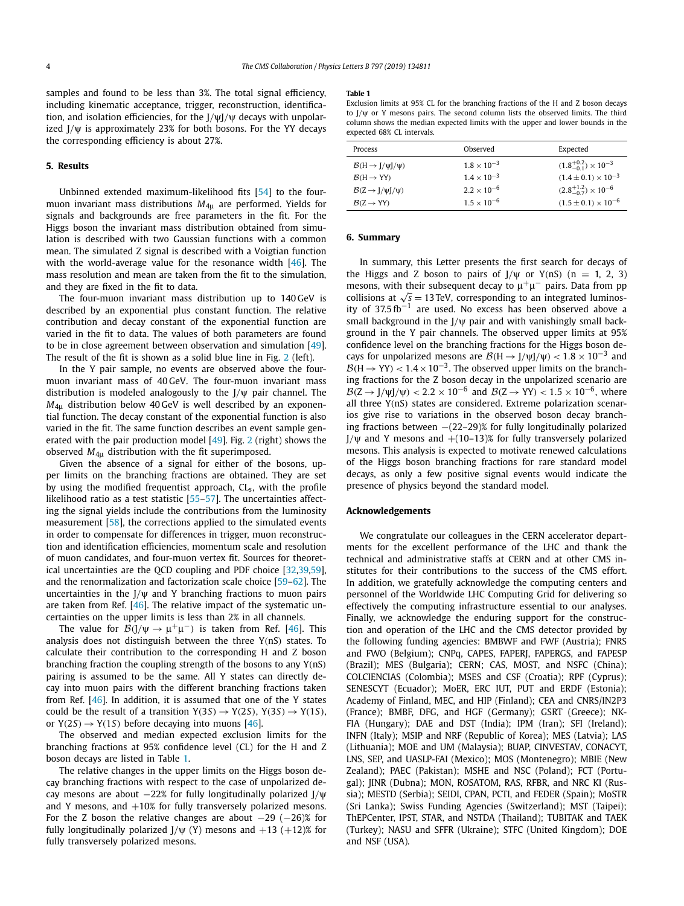samples and found to be less than 3%. The total signal efficiency, including kinematic acceptance, trigger, reconstruction, identification, and isolation efficiencies, for the J*/*ψJ*/*ψ decays with unpolarized  $J/\psi$  is approximately 23% for both bosons. For the YY decays the corresponding efficiency is about 27%.

#### **5. Results**

Unbinned extended maximum-likelihood fits [\[54\]](#page-5-0) to the fourmuon invariant mass distributions *M*4μ are performed. Yields for signals and backgrounds are free parameters in the fit. For the Higgs boson the invariant mass distribution obtained from simulation is described with two Gaussian functions with a common mean. The simulated Z signal is described with a Voigtian function with the world-average value for the resonance width [\[46\]](#page-5-0). The mass resolution and mean are taken from the fit to the simulation, and they are fixed in the fit to data.

The four-muon invariant mass distribution up to 140 GeV is described by an exponential plus constant function. The relative contribution and decay constant of the exponential function are varied in the fit to data. The values of both parameters are found to be in close agreement between observation and simulation [\[49\]](#page-5-0). The result of the fit is shown as a solid blue line in Fig. [2](#page-2-0) (left).

In the Y pair sample, no events are observed above the fourmuon invariant mass of 40 GeV. The four-muon invariant mass distribution is modeled analogously to the J*/*ψ pair channel. The *M*4μ distribution below 40 GeV is well described by an exponential function. The decay constant of the exponential function is also varied in the fit. The same function describes an event sample generated with the pair production model  $[49]$ . Fig. [2](#page-2-0) (right) shows the observed *M*4μ distribution with the fit superimposed.

Given the absence of a signal for either of the bosons, upper limits on the branching fractions are obtained. They are set by using the modified frequentist approach, CL<sub>s</sub>, with the profile likelihood ratio as a test statistic [\[55–57\]](#page-5-0). The uncertainties affecting the signal yields include the contributions from the luminosity measurement [\[58\]](#page-5-0), the corrections applied to the simulated events in order to compensate for differences in trigger, muon reconstruction and identification efficiencies, momentum scale and resolution of muon candidates, and four-muon vertex fit. Sources for theoretical uncertainties are the QCD coupling and PDF choice [\[32,](#page-4-0)[39,59\]](#page-5-0), and the renormalization and factorization scale choice [\[59–62\]](#page-5-0). The uncertainties in the J*/*ψ and Y branching fractions to muon pairs are taken from Ref. [\[46\]](#page-5-0). The relative impact of the systematic uncertainties on the upper limits is less than 2% in all channels.

The value for  $\mathcal{B}(J/\psi \to \mu^+\mu^-)$  is taken from Ref. [\[46\]](#page-5-0). This analysis does not distinguish between the three Y*(*nS*)* states. To calculate their contribution to the corresponding H and Z boson branching fraction the coupling strength of the bosons to any Y*(*nS*)* pairing is assumed to be the same. All Y states can directly decay into muon pairs with the different branching fractions taken from Ref. [\[46\]](#page-5-0). In addition, it is assumed that one of the Y states could be the result of a transition  $Y(3S) \rightarrow Y(2S)$ ,  $Y(3S) \rightarrow Y(1S)$ , or  $Y(2S) \rightarrow Y(1S)$  before decaying into muons [\[46\]](#page-5-0).

The observed and median expected exclusion limits for the branching fractions at 95% confidence level (CL) for the H and Z boson decays are listed in Table 1.

The relative changes in the upper limits on the Higgs boson decay branching fractions with respect to the case of unpolarized decay mesons are about −22% for fully longitudinally polarized <sup>J</sup>*/*ψ and Y mesons, and  $+10\%$  for fully transversely polarized mesons. For the Z boson the relative changes are about  $-29$  ( $-26$ )% for fully longitudinally polarized  $J/\psi$  (Y) mesons and  $+13$  ( $+12$ )% for fully transversely polarized mesons.

#### **Table 1**

Exclusion limits at 95% CL for the branching fractions of the H and Z boson decays to J*/*ψ or Y mesons pairs. The second column lists the observed limits. The third column shows the median expected limits with the upper and lower bounds in the expected 68% CL intervals.

| <b>Process</b>                             | Observed             | Expected                             |
|--------------------------------------------|----------------------|--------------------------------------|
| $\mathcal{B}(H \rightarrow J/\psi J/\psi)$ | $1.8 \times 10^{-3}$ | $(1.8^{+0.2}_{-0.1}) \times 10^{-3}$ |
| $\mathcal{B}(H \rightarrow YY)$            | $1.4 \times 10^{-3}$ | $(1.4 \pm 0.1) \times 10^{-3}$       |
| $\mathcal{B}(Z \rightarrow J/\psi J/\psi)$ | $2.2 \times 10^{-6}$ | $(2.8^{+1.2}_{-0.7}) \times 10^{-6}$ |
| $B(Z \rightarrow YY)$                      | $1.5 \times 10^{-6}$ | $(1.5 \pm 0.1) \times 10^{-6}$       |

#### **6. Summary**

In summary, this Letter presents the first search for decays of the Higgs and Z boson to pairs of  $J/\psi$  or  $Y(nS)$  (n = 1, 2, 3) mesons, with their subsequent decay to  $\mu^+\mu^-$  pairs. Data from pp collisions at  $\sqrt{s}$  = 13 TeV, corresponding to an integrated luminosity of 37.5 fb $^{-1}$  are used. No excess has been observed above a small background in the J*/*ψ pair and with vanishingly small background in the Y pair channels. The observed upper limits at 95% confidence level on the branching fractions for the Higgs boson decays for unpolarized mesons are  $\mathcal{B}(H \to J/\psi J/\psi) < 1.8 \times 10^{-3}$  and  $B(H \rightarrow YY) < 1.4 \times 10^{-3}$ . The observed upper limits on the branching fractions for the Z boson decay in the unpolarized scenario are  $B(Z \rightarrow J/\psi J/\psi) < 2.2 \times 10^{-6}$  and  $B(Z \rightarrow YY) < 1.5 \times 10^{-6}$ , where all three Y*(*nS*)* states are considered. Extreme polarization scenarios give rise to variations in the observed boson decay branching fractions between −(22–29)% for fully longitudinally polarized <sup>J</sup>*/*ψ and Y mesons and +(10–13)% for fully transversely polarized mesons. This analysis is expected to motivate renewed calculations of the Higgs boson branching fractions for rare standard model decays, as only a few positive signal events would indicate the presence of physics beyond the standard model.

#### **Acknowledgements**

We congratulate our colleagues in the CERN accelerator departments for the excellent performance of the LHC and thank the technical and administrative staffs at CERN and at other CMS institutes for their contributions to the success of the CMS effort. In addition, we gratefully acknowledge the computing centers and personnel of the Worldwide LHC Computing Grid for delivering so effectively the computing infrastructure essential to our analyses. Finally, we acknowledge the enduring support for the construction and operation of the LHC and the CMS detector provided by the following funding agencies: BMBWF and FWF (Austria); FNRS and FWO (Belgium); CNPq, CAPES, FAPERJ, FAPERGS, and FAPESP (Brazil); MES (Bulgaria); CERN; CAS, MOST, and NSFC (China); COLCIENCIAS (Colombia); MSES and CSF (Croatia); RPF (Cyprus); SENESCYT (Ecuador); MoER, ERC IUT, PUT and ERDF (Estonia); Academy of Finland, MEC, and HIP (Finland); CEA and CNRS/IN2P3 (France); BMBF, DFG, and HGF (Germany); GSRT (Greece); NK-FIA (Hungary); DAE and DST (India); IPM (Iran); SFI (Ireland); INFN (Italy); MSIP and NRF (Republic of Korea); MES (Latvia); LAS (Lithuania); MOE and UM (Malaysia); BUAP, CINVESTAV, CONACYT, LNS, SEP, and UASLP-FAI (Mexico); MOS (Montenegro); MBIE (New Zealand); PAEC (Pakistan); MSHE and NSC (Poland); FCT (Portugal); JINR (Dubna); MON, ROSATOM, RAS, RFBR, and NRC KI (Russia); MESTD (Serbia); SEIDI, CPAN, PCTI, and FEDER (Spain); MoSTR (Sri Lanka); Swiss Funding Agencies (Switzerland); MST (Taipei); ThEPCenter, IPST, STAR, and NSTDA (Thailand); TUBITAK and TAEK (Turkey); NASU and SFFR (Ukraine); STFC (United Kingdom); DOE and NSF (USA).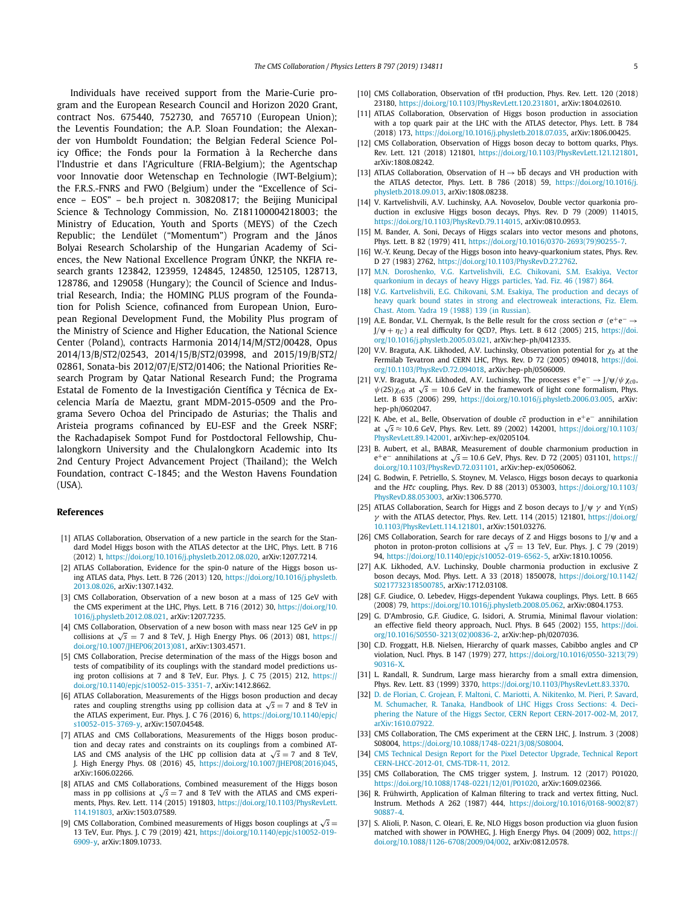<span id="page-4-0"></span>Individuals have received support from the Marie-Curie program and the European Research Council and Horizon 2020 Grant, contract Nos. 675440, 752730, and 765710 (European Union); the Leventis Foundation; the A.P. Sloan Foundation; the Alexander von Humboldt Foundation; the Belgian Federal Science Policy Office; the Fonds pour la Formation à la Recherche dans l'Industrie et dans l'Agriculture (FRIA-Belgium); the Agentschap voor Innovatie door Wetenschap en Technologie (IWT-Belgium); the F.R.S.-FNRS and FWO (Belgium) under the "Excellence of Science – EOS" – be.h project n. 30820817; the Beijing Municipal Science & Technology Commission, No. Z181100004218003; the Ministry of Education, Youth and Sports (MEYS) of the Czech Republic; the Lendület ("Momentum") Program and the János Bolyai Research Scholarship of the Hungarian Academy of Sciences, the New National Excellence Program ÚNKP, the NKFIA research grants 123842, 123959, 124845, 124850, 125105, 128713, 128786, and 129058 (Hungary); the Council of Science and Industrial Research, India; the HOMING PLUS program of the Foundation for Polish Science, cofinanced from European Union, European Regional Development Fund, the Mobility Plus program of the Ministry of Science and Higher Education, the National Science Center (Poland), contracts Harmonia 2014/14/M/ST2/00428, Opus 2014/13/B/ST2/02543, 2014/15/B/ST2/03998, and 2015/19/B/ST2/ 02861, Sonata-bis 2012/07/E/ST2/01406; the National Priorities Research Program by Qatar National Research Fund; the Programa Estatal de Fomento de la Investigación Científica y Técnica de Excelencia María de Maeztu, grant MDM-2015-0509 and the Programa Severo Ochoa del Principado de Asturias; the Thalis and Aristeia programs cofinanced by EU-ESF and the Greek NSRF; the Rachadapisek Sompot Fund for Postdoctoral Fellowship, Chulalongkorn University and the Chulalongkorn Academic into Its 2nd Century Project Advancement Project (Thailand); the Welch Foundation, contract C-1845; and the Weston Havens Foundation (USA).

#### **References**

- [1] ATLAS Collaboration, Observation of a new particle in the search for the Standard Model Higgs boson with the ATLAS detector at the LHC, Phys. Lett. B 716 (2012) 1, <https://doi.org/10.1016/j.physletb.2012.08.020>, arXiv:1207.7214.
- [2] ATLAS Collaboration, Evidence for the spin-0 nature of the Higgs boson using ATLAS data, Phys. Lett. B 726 (2013) 120, [https://doi.org/10.1016/j.physletb.](https://doi.org/10.1016/j.physletb.2013.08.026) [2013.08.026,](https://doi.org/10.1016/j.physletb.2013.08.026) arXiv:1307.1432.
- [3] CMS Collaboration, Observation of a new boson at a mass of 125 GeV with the CMS experiment at the LHC, Phys. Lett. B 716 (2012) 30, [https://doi.org/10.](https://doi.org/10.1016/j.physletb.2012.08.021) [1016/j.physletb.2012.08.021](https://doi.org/10.1016/j.physletb.2012.08.021), arXiv:1207.7235.
- [4] CMS Collaboration, Observation of a new boson with mass near 125 GeV in pp collisions at  $\sqrt{s}$  = 7 and 8 TeV, J. High Energy Phys. 06 (2013) 081, [https://](https://doi.org/10.1007/JHEP06(2013)081) [doi.org/10.1007/JHEP06\(2013\)081](https://doi.org/10.1007/JHEP06(2013)081), arXiv:1303.4571.
- [5] CMS Collaboration, Precise determination of the mass of the Higgs boson and tests of compatibility of its couplings with the standard model predictions using proton collisions at 7 and 8 TeV, Eur. Phys. J. C 75 (2015) 212, [https://](https://doi.org/10.1140/epjc/s10052-015-3351-7) [doi.org/10.1140/epjc/s10052-015-3351-7](https://doi.org/10.1140/epjc/s10052-015-3351-7), arXiv:1412.8662.
- [6] ATLAS Collaboration, Measurements of the Higgs boson production and decay rates and coupling strengths using pp collision data at  $\sqrt{s} = 7$  and 8 TeV in the ATLAS experiment, Eur. Phys. J. C 76 (2016) 6, [https://doi.org/10.1140/epjc/](https://doi.org/10.1140/epjc/s10052-015-3769-y) [s10052-015-3769-y](https://doi.org/10.1140/epjc/s10052-015-3769-y), arXiv:1507.04548.
- [7] ATLAS and CMS Collaborations, Measurements of the Higgs boson production and decay rates and constraints on its couplings from a combined AT-LAS and CMS analysis of the LHC pp collision data at  $\sqrt{s} = 7$  and 8 TeV, J. High Energy Phys. 08 (2016) 45, [https://doi.org/10.1007/JHEP08\(2016\)045](https://doi.org/10.1007/JHEP08(2016)045), arXiv:1606.02266.
- [8] ATLAS and CMS Collaborations, Combined measurement of the Higgs boson mass in pp collisions at  $\sqrt{s}$  = 7 and 8 TeV with the ATLAS and CMS experiments, Phys. Rev. Lett. 114 (2015) 191803, [https://doi.org/10.1103/PhysRevLett.](https://doi.org/10.1103/PhysRevLett.114.191803) [114.191803](https://doi.org/10.1103/PhysRevLett.114.191803), arXiv:1503.07589.
- [9] CMS Collaboration, Combined measurements of Higgs boson couplings at <sup>√</sup>*<sup>s</sup>* <sup>=</sup> 13 TeV, Eur. Phys. J. C 79 (2019) 421, [https://doi.org/10.1140/epjc/s10052-019-](https://doi.org/10.1140/epjc/s10052-019-6909-y) [6909-y,](https://doi.org/10.1140/epjc/s10052-019-6909-y) arXiv:1809.10733.
- [10] CMS Collaboration, Observation of ttH production, Phys. Rev. Lett. 120 (2018) 23180, <https://doi.org/10.1103/PhysRevLett.120.231801>, arXiv:1804.02610.
- [11] ATLAS Collaboration, Observation of Higgs boson production in association with a top quark pair at the LHC with the ATLAS detector, Phys. Lett. B 784 (2018) 173, [https://doi.org/10.1016/j.physletb.2018.07.035,](https://doi.org/10.1016/j.physletb.2018.07.035) arXiv:1806.00425.
- [12] CMS Collaboration, Observation of Higgs boson decay to bottom quarks, Phys. Rev. Lett. 121 (2018) 121801, [https://doi.org/10.1103/PhysRevLett.121.121801,](https://doi.org/10.1103/PhysRevLett.121.121801) arXiv:1808.08242.
- [13] ATLAS Collaboration, Observation of  $H \rightarrow b\overline{b}$  decays and VH production with the ATLAS detector, Phys. Lett. B 786 (2018) 59, [https://doi.org/10.1016/j.](https://doi.org/10.1016/j.physletb.2018.09.013) [physletb.2018.09.013,](https://doi.org/10.1016/j.physletb.2018.09.013) arXiv:1808.08238.
- [14] V. Kartvelishvili, A.V. Luchinsky, A.A. Novoselov, Double vector quarkonia production in exclusive Higgs boson decays, Phys. Rev. D 79 (2009) 114015, [https://doi.org/10.1103/PhysRevD.79.114015,](https://doi.org/10.1103/PhysRevD.79.114015) arXiv:0810.0953.
- [15] M. Bander, A. Soni, Decays of Higgs scalars into vector mesons and photons, Phys. Lett. B 82 (1979) 411, [https://doi.org/10.1016/0370-2693\(79\)90255-7.](https://doi.org/10.1016/0370-2693(79)90255-7)
- [16] W.-Y. Keung, Decay of the Higgs boson into heavy-quarkonium states, Phys. Rev. D 27 (1983) 2762, [https://doi.org/10.1103/PhysRevD.27.2762.](https://doi.org/10.1103/PhysRevD.27.2762)
- [17] M.N. Doroshenko, V.G. [Kartvelishvili,](http://refhub.elsevier.com/S0370-2693(19)30521-0/bib646F726F7368656E6B6F31393837s1) E.G. Chikovani, S.M. Esakiya, Vector [quarkonium](http://refhub.elsevier.com/S0370-2693(19)30521-0/bib646F726F7368656E6B6F31393837s1) in decays of heavy Higgs particles, Yad. Fiz. 46 (1987) 864.
- [18] V.G. [Kartvelishvili,](http://refhub.elsevier.com/S0370-2693(19)30521-0/bib6B61727476696C6931393838s1) E.G. Chikovani, S.M. Esakiya, The production and decays of heavy quark bound states in strong and electroweak [interactions,](http://refhub.elsevier.com/S0370-2693(19)30521-0/bib6B61727476696C6931393838s1) Fiz. Elem. Chast. Atom. Yadra 19 (1988) 139 (in [Russian\).](http://refhub.elsevier.com/S0370-2693(19)30521-0/bib6B61727476696C6931393838s1)
- [19] A.E. Bondar, V.L. Chernyak, Is the Belle result for the cross section  $\sigma$  (e<sup>+</sup>e<sup>-</sup> →  $J/\psi + \eta_C$ ) a real difficulty for QCD?, Phys. Lett. B 612 (2005) 215, [https://doi.](https://doi.org/10.1016/j.physletb.2005.03.021) [org/10.1016/j.physletb.2005.03.021,](https://doi.org/10.1016/j.physletb.2005.03.021) arXiv:hep-ph/0412335.
- [20] V.V. Braguta, A.K. Likhoded, A.V. Luchinsky, Observation potential for  $\chi_b$  at the Fermilab Tevatron and CERN LHC, Phys. Rev. D 72 (2005) 094018, [https://doi.](https://doi.org/10.1103/PhysRevD.72.094018) [org/10.1103/PhysRevD.72.094018,](https://doi.org/10.1103/PhysRevD.72.094018) arXiv:hep-ph/0506009.
- [21] V.V. Braguta, A.K. Likhoded, A.V. Luchinsky, The processes <sup>e</sup>+e<sup>−</sup> → <sup>J</sup>*/*ψ*/ψχc*0,  $\psi$ (2S) $\chi_{c0}$  at  $\sqrt{s}$  = 10.6 GeV in the framework of light cone formalism, Phys. Lett. B 635 (2006) 299, [https://doi.org/10.1016/j.physletb.2006.03.005,](https://doi.org/10.1016/j.physletb.2006.03.005) arXiv: hep-ph/0602047.
- [22] K. Abe, et al., Belle, Observation of double *cc* production in e+e− annihilation at <sup>√</sup>*<sup>s</sup>* <sup>≈</sup> <sup>10</sup>*.*6 GeV, Phys. Rev. Lett. <sup>89</sup> (2002) 142001, [https://doi.org/10.1103/](https://doi.org/10.1103/PhysRevLett.89.142001) [PhysRevLett.89.142001](https://doi.org/10.1103/PhysRevLett.89.142001), arXiv:hep-ex/0205104.
- [23] B. Aubert, et al., BABAR, Measurement of double charmonium production in <sup>e</sup>+e<sup>−</sup> annihilations at <sup>√</sup>*<sup>s</sup>* <sup>=</sup> <sup>10</sup>*.*6 GeV, Phys. Rev. <sup>D</sup> <sup>72</sup> (2005) 031101, [https://](https://doi.org/10.1103/PhysRevD.72.031101) [doi.org/10.1103/PhysRevD.72.031101,](https://doi.org/10.1103/PhysRevD.72.031101) arXiv:hep-ex/0506062.
- [24] G. Bodwin, F. Petriello, S. Stoynev, M. Velasco, Higgs boson decays to quarkonia and the *Hcc* coupling, Phys. Rev. D 88 (2013) 053003, [https://doi.org/10.1103/](https://doi.org/10.1103/PhysRevD.88.053003) [PhysRevD.88.053003](https://doi.org/10.1103/PhysRevD.88.053003), arXiv:1306.5770.
- [25] ATLAS Collaboration, Search for Higgs and Z boson decays to J*/*ψ *γ* and Y*(*nS*) γ* with the ATLAS detector, Phys. Rev. Lett. 114 (2015) 121801, [https://doi.org/](https://doi.org/10.1103/PhysRevLett.114.121801) [10.1103/PhysRevLett.114.121801](https://doi.org/10.1103/PhysRevLett.114.121801), arXiv:1501.03276.
- [26] CMS Collaboration, Search for rare decays of Z and Higgs bosons to J*/*ψ and a photon in proton-proton collisions at  $\sqrt{s}$  = 13 TeV, Eur. Phys. J. C 79 (2019) 94, <https://doi.org/10.1140/epjc/s10052-019-6562-5>, arXiv:1810.10056.
- [27] A.K. Likhoded, A.V. Luchinsky, Double charmonia production in exclusive Z boson decays, Mod. Phys. Lett. A 33 (2018) 1850078, [https://doi.org/10.1142/](https://doi.org/10.1142/S0217732318500785) [S0217732318500785,](https://doi.org/10.1142/S0217732318500785) arXiv:1712.03108.
- [28] G.F. Giudice, O. Lebedev, Higgs-dependent Yukawa couplings, Phys. Lett. B 665 (2008) 79, [https://doi.org/10.1016/j.physletb.2008.05.062,](https://doi.org/10.1016/j.physletb.2008.05.062) arXiv:0804.1753.
- [29] G. D'Ambrosio, G.F. Giudice, G. Isidori, A. Strumia, Minimal flavour violation: an effective field theory approach, Nucl. Phys. B 645 (2002) 155, [https://doi.](https://doi.org/10.1016/S0550-3213(02)00836-2) [org/10.1016/S0550-3213\(02\)00836-2](https://doi.org/10.1016/S0550-3213(02)00836-2), arXiv:hep-ph/0207036.
- [30] C.D. Froggatt, H.B. Nielsen, Hierarchy of quark masses, Cabibbo angles and CP violation, Nucl. Phys. B 147 (1979) 277, [https://doi.org/10.1016/0550-3213\(79\)](https://doi.org/10.1016/0550-3213(79)90316-X) [90316-X](https://doi.org/10.1016/0550-3213(79)90316-X).
- [31] L. Randall, R. Sundrum, Large mass hierarchy from a small extra dimension, Phys. Rev. Lett. 83 (1999) 3370, [https://doi.org/10.1103/PhysRevLett.83.3370.](https://doi.org/10.1103/PhysRevLett.83.3370)
- [32] D. de Florian, C. Grojean, F. Maltoni, C. Mariotti, A. [Nikitenko,](http://refhub.elsevier.com/S0370-2693(19)30521-0/bib4C48432D595234s1) M. Pieri, P. Savard, M. [Schumacher,](http://refhub.elsevier.com/S0370-2693(19)30521-0/bib4C48432D595234s1) R. Tanaka, Handbook of LHC Higgs Cross Sections: 4. Deciphering the Nature of the Higgs Sector, CERN Report [CERN-2017-002-M,](http://refhub.elsevier.com/S0370-2693(19)30521-0/bib4C48432D595234s1) 2017, [arXiv:1610.07922.](http://refhub.elsevier.com/S0370-2693(19)30521-0/bib4C48432D595234s1)
- [33] CMS Collaboration, The CMS experiment at the CERN LHC, J. Instrum. 3 (2008) S08004, <https://doi.org/10.1088/1748-0221/3/08/S08004>.
- [34] CMS [Technical](http://refhub.elsevier.com/S0370-2693(19)30521-0/bib6E6577706978656Cs1) Design Report for the Pixel Detector Upgrade, Technical Report [CERN-LHCC-2012-01,](http://refhub.elsevier.com/S0370-2693(19)30521-0/bib6E6577706978656Cs1) CMS-TDR-11, 2012.
- [35] CMS Collaboration, The CMS trigger system, J. Instrum. 12 (2017) P01020, [https://doi.org/10.1088/1748-0221/12/01/P01020,](https://doi.org/10.1088/1748-0221/12/01/P01020) arXiv:1609.02366.
- [36] R. Frühwirth, Application of Kalman filtering to track and vertex fitting, Nucl. Instrum. Methods A 262 (1987) 444, [https://doi.org/10.1016/0168-9002\(87\)](https://doi.org/10.1016/0168-9002(87)90887-4) [90887-4.](https://doi.org/10.1016/0168-9002(87)90887-4)
- [37] S. Alioli, P. Nason, C. Oleari, E. Re, NLO Higgs boson production via gluon fusion matched with shower in POWHEG, J. High Energy Phys. 04 (2009) 002, [https://](https://doi.org/10.1088/1126-6708/2009/04/002) [doi.org/10.1088/1126-6708/2009/04/002](https://doi.org/10.1088/1126-6708/2009/04/002), arXiv:0812.0578.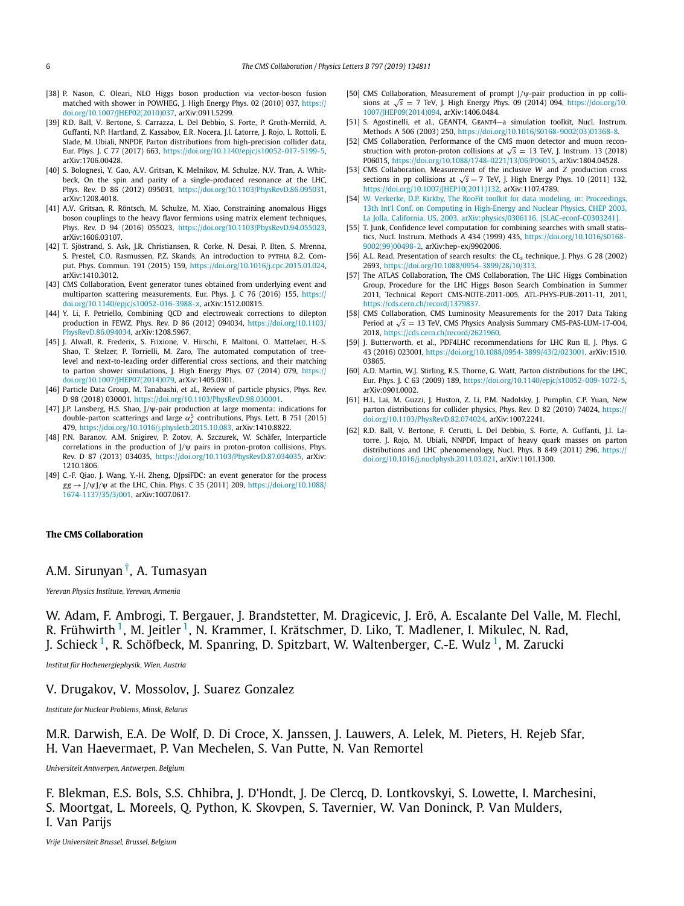- <span id="page-5-0"></span>[38] P. Nason, C. Oleari, NLO Higgs boson production via vector-boson fusion matched with shower in POWHEG, J. High Energy Phys. 02 (2010) 037, [https://](https://doi.org/10.1007/JHEP02(2010)037) [doi.org/10.1007/JHEP02\(2010\)037,](https://doi.org/10.1007/JHEP02(2010)037) arXiv:0911.5299.
- [39] R.D. Ball, V. Bertone, S. Carrazza, L. Del Debbio, S. Forte, P. Groth-Merrild, A. Guffanti, N.P. Hartland, Z. Kassabov, E.R. Nocera, J.I. Latorre, J. Rojo, L. Rottoli, E. Slade, M. Ubiali, NNPDF, Parton distributions from high-precision collider data, Eur. Phys. J. C 77 (2017) 663, <https://doi.org/10.1140/epjc/s10052-017-5199-5>, arXiv:1706.00428.
- [40] S. Bolognesi, Y. Gao, A.V. Gritsan, K. Melnikov, M. Schulze, N.V. Tran, A. Whitbeck, On the spin and parity of a single-produced resonance at the LHC, Phys. Rev. D 86 (2012) 095031, <https://doi.org/10.1103/PhysRevD.86.095031>, arXiv:1208.4018.
- [41] A.V. Gritsan, R. Röntsch, M. Schulze, M. Xiao, Constraining anomalous Higgs boson couplings to the heavy flavor fermions using matrix element techniques, Phys. Rev. D 94 (2016) 055023, <https://doi.org/10.1103/PhysRevD.94.055023>, arXiv:1606.03107.
- [42] T. Sjöstrand, S. Ask, J.R. Christiansen, R. Corke, N. Desai, P. Ilten, S. Mrenna, S. Prestel, C.O. Rasmussen, P.Z. Skands, An introduction to pythia 8.2, Comput. Phys. Commun. 191 (2015) 159, <https://doi.org/10.1016/j.cpc.2015.01.024>, arXiv:1410.3012.
- [43] CMS Collaboration, Event generator tunes obtained from underlying event and multiparton scattering measurements, Eur. Phys. J. C 76 (2016) 155, [https://](https://doi.org/10.1140/epjc/s10052-016-3988-x) [doi.org/10.1140/epjc/s10052-016-3988-x](https://doi.org/10.1140/epjc/s10052-016-3988-x), arXiv:1512.00815.
- [44] Y. Li, F. Petriello, Combining QCD and electroweak corrections to dilepton production in FEWZ, Phys. Rev. D 86 (2012) 094034, [https://doi.org/10.1103/](https://doi.org/10.1103/PhysRevD.86.094034) [PhysRevD.86.094034,](https://doi.org/10.1103/PhysRevD.86.094034) arXiv:1208.5967.
- [45] J. Alwall, R. Frederix, S. Frixione, V. Hirschi, F. Maltoni, O. Mattelaer, H.-S. Shao, T. Stelzer, P. Torrielli, M. Zaro, The automated computation of treelevel and next-to-leading order differential cross sections, and their matching to parton shower simulations, J. High Energy Phys. 07 (2014) 079, [https://](https://doi.org/10.1007/JHEP07(2014)079) [doi.org/10.1007/JHEP07\(2014\)079,](https://doi.org/10.1007/JHEP07(2014)079) arXiv:1405.0301.
- [46] Particle Data Group, M. Tanabashi, et al., Review of particle physics, Phys. Rev. D 98 (2018) 030001, [https://doi.org/10.1103/PhysRevD.98.030001.](https://doi.org/10.1103/PhysRevD.98.030001)
- [47] J.P. Lansberg, H.S. Shao, J*/*ψ-pair production at large momenta: indications for double-parton scatterings and large  $\alpha_s^5$  contributions, Phys. Lett. B 751 (2015) 479, [https://doi.org/10.1016/j.physletb.2015.10.083,](https://doi.org/10.1016/j.physletb.2015.10.083) arXiv:1410.8822.
- [48] P.N. Baranov, A.M. Snigirev, P. Zotov, A. Szczurek, W. Schäfer, Interparticle correlations in the production of J*/*ψ pairs in proton-proton collisions, Phys. Rev. D 87 (2013) 034035, <https://doi.org/10.1103/PhysRevD.87.034035>, arXiv: 1210.1806.
- [49] C.-F. Qiao, J. Wang, Y.-H. Zheng, DJpsiFDC: an event generator for the process *gg* → <sup>J</sup>*/*ψJ*/*ψ at the LHC, Chin. Phys. <sup>C</sup> <sup>35</sup> (2011) 209, [https://doi.org/10.1088/](https://doi.org/10.1088/1674-1137/35/3/001) [1674-1137/35/3/001,](https://doi.org/10.1088/1674-1137/35/3/001) arXiv:1007.0617.
- [50] CMS Collaboration, Measurement of prompt J*/*ψ-pair production in pp collisions at  $\sqrt{s}$  = 7 TeV, J. High Energy Phys. 09 (2014) 094, [https://doi.org/10.](https://doi.org/10.1007/JHEP09(2014)094) [1007/JHEP09\(2014\)094](https://doi.org/10.1007/JHEP09(2014)094), arXiv:1406.0484.
- [51] S. Agostinelli, et al., GEANT4, Geant4—a simulation toolkit, Nucl. Instrum. Methods A 506 (2003) 250, [https://doi.org/10.1016/S0168-9002\(03\)01368-8.](https://doi.org/10.1016/S0168-9002(03)01368-8)
- [52] CMS Collaboration, Performance of the CMS muon detector and muon reconstruction with proton-proton collisions at  $\sqrt{s}$  = 13 TeV, J. Instrum. 13 (2018) P06015, [https://doi.org/10.1088/1748-0221/13/06/P06015,](https://doi.org/10.1088/1748-0221/13/06/P06015) arXiv:1804.04528.
- [53] CMS Collaboration, Measurement of the inclusive *W* and *Z* production cross sections in pp collisions at  $\sqrt{s}$  = 7 TeV, J. High Energy Phys. 10 (2011) 132, [https://doi.org/10.1007/JHEP10\(2011\)132,](https://doi.org/10.1007/JHEP10(2011)132) arXiv:1107.4789.
- [54] W. Verkerke, D.P. Kirkby, The RooFit toolkit for data modeling, in: [Proceedings,](http://refhub.elsevier.com/S0370-2693(19)30521-0/bib726F6F666974s1) 13th Int'l Conf. on Computing in [High-Energy](http://refhub.elsevier.com/S0370-2693(19)30521-0/bib726F6F666974s1) and Nuclear Physics, CHEP 2003, La Jolla, California, US, 2003, arXiv:physics/0306116, [\[SLAC-econf-C0303241\].](http://refhub.elsevier.com/S0370-2693(19)30521-0/bib726F6F666974s1)
- [55] T. Junk, Confidence level computation for combining searches with small statistics, Nucl. Instrum. Methods A 434 (1999) 435, [https://doi.org/10.1016/S0168-](https://doi.org/10.1016/S0168-9002(99)00498-2) [9002\(99\)00498-2,](https://doi.org/10.1016/S0168-9002(99)00498-2) arXiv:hep-ex/9902006.
- [56] A.L. Read, Presentation of search results: the CL<sub>s</sub> technique, J. Phys. G 28 (2002) 2693, <https://doi.org/10.1088/0954-3899/28/10/313>.
- [57] The ATLAS Collaboration, The CMS Collaboration, The LHC Higgs Combination Group, Procedure for the LHC Higgs Boson Search Combination in Summer 2011, Technical Report CMS-NOTE-2011-005, ATL-PHYS-PUB-2011-11, 2011, [https://cds.cern.ch/record/1379837.](https://cds.cern.ch/record/1379837)
- [58] CMS Collaboration, CMS Luminosity Measurements for the 2017 Data Taking Period at <sup>√</sup>*<sup>s</sup>* <sup>=</sup> <sup>13</sup> TeV, CMS Physics Analysis Summary CMS-PAS-LUM-17-004, 2018, <https://cds.cern.ch/record/2621960>.
- [59] J. Butterworth, et al., PDF4LHC recommendations for LHC Run II, J. Phys. G 43 (2016) 023001, <https://doi.org/10.1088/0954-3899/43/2/023001>, arXiv:1510. 03865.
- [60] A.D. Martin, W.J. Stirling, R.S. Thorne, G. Watt, Parton distributions for the LHC, Eur. Phys. J. C 63 (2009) 189, <https://doi.org/10.1140/epjc/s10052-009-1072-5>, arXiv:0901.0002.
- [61] H.L. Lai, M. Guzzi, J. Huston, Z. Li, P.M. Nadolsky, J. Pumplin, C.P. Yuan, New parton distributions for collider physics, Phys. Rev. D 82 (2010) 74024, [https://](https://doi.org/10.1103/PhysRevD.82.074024) [doi.org/10.1103/PhysRevD.82.074024,](https://doi.org/10.1103/PhysRevD.82.074024) arXiv:1007.2241.
- [62] R.D. Ball, V. Bertone, F. Cerutti, L. Del Debbio, S. Forte, A. Guffanti, J.I. Latorre, J. Rojo, M. Ubiali, NNPDF, Impact of heavy quark masses on parton distributions and LHC phenomenology, Nucl. Phys. B 849 (2011) 296, [https://](https://doi.org/10.1016/j.nuclphysb.2011.03.021) [doi.org/10.1016/j.nuclphysb.2011.03.021](https://doi.org/10.1016/j.nuclphysb.2011.03.021), arXiv:1101.1300.

#### **The CMS Collaboration**

# A.M. Sirunyan<sup>†</sup>, A. Tumasyan

*Yerevan Physics Institute, Yerevan, Armenia*

W. Adam, F. Ambrogi, T. Bergauer, J. Brandstetter, M. Dragicevic, J. Erö, A. Escalante Del Valle, M. Flechl, R. Frühwirth<sup>1</sup>, M. Jeitler<sup>1</sup>, N. Krammer, I. Krätschmer, D. Liko, T. Madlener, I. Mikulec, N. Rad, J. Schieck<sup>1</sup>, R. Schöfbeck, M. Spanring, D. Spitzbart, W. Waltenberger, C.-E. Wulz<sup>1</sup>, M. Zarucki

*Institut für Hochenergiephysik, Wien, Austria*

V. Drugakov, V. Mossolov, J. Suarez Gonzalez

*Institute for Nuclear Problems, Minsk, Belarus*

M.R. Darwish, E.A. De Wolf, D. Di Croce, X. Janssen, J. Lauwers, A. Lelek, M. Pieters, H. Rejeb Sfar, H. Van Haevermaet, P. Van Mechelen, S. Van Putte, N. Van Remortel

*Universiteit Antwerpen, Antwerpen, Belgium*

F. Blekman, E.S. Bols, S.S. Chhibra, J. D'Hondt, J. De Clercq, D. Lontkovskyi, S. Lowette, I. Marchesini, S. Moortgat, L. Moreels, Q. Python, K. Skovpen, S. Tavernier, W. Van Doninck, P. Van Mulders, I. Van Parijs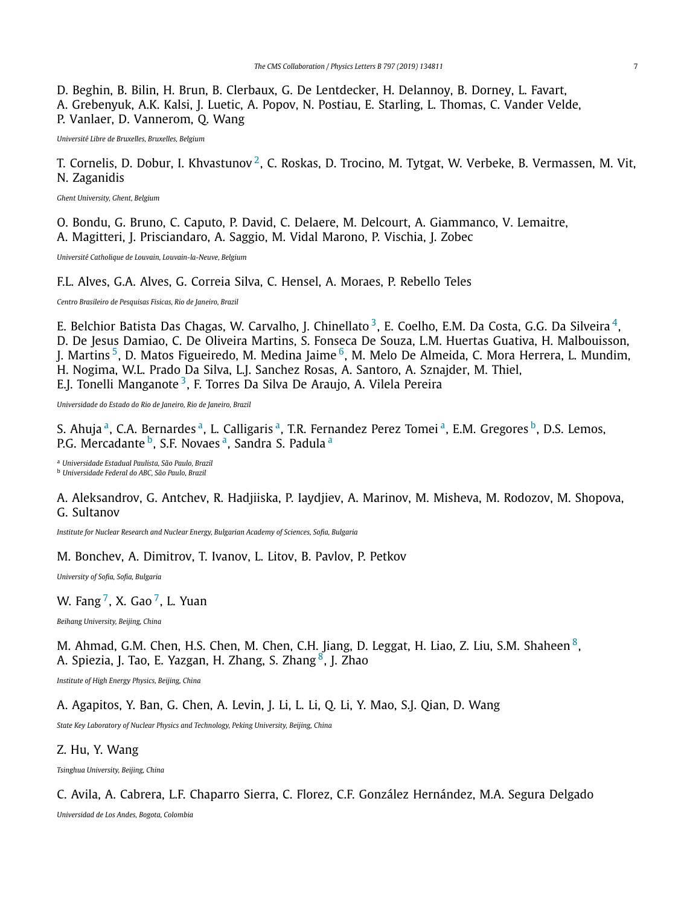D. Beghin, B. Bilin, H. Brun, B. Clerbaux, G. De Lentdecker, H. Delannoy, B. Dorney, L. Favart, A. Grebenyuk, A.K. Kalsi, J. Luetic, A. Popov, N. Postiau, E. Starling, L. Thomas, C. Vander Velde, P. Vanlaer, D. Vannerom, Q. Wang

*Université Libre de Bruxelles, Bruxelles, Belgium*

T. Cornelis, D. Dobur, I. Khvastunov<sup>2</sup>, C. Roskas, D. Trocino, M. Tytgat, W. Verbeke, B. Vermassen, M. Vit, N. Zaganidis

*Ghent University, Ghent, Belgium*

O. Bondu, G. Bruno, C. Caputo, P. David, C. Delaere, M. Delcourt, A. Giammanco, V. Lemaitre, A. Magitteri, J. Prisciandaro, A. Saggio, M. Vidal Marono, P. Vischia, J. Zobec

*Université Catholique de Louvain, Louvain-la-Neuve, Belgium*

F.L. Alves, G.A. Alves, G. Correia Silva, C. Hensel, A. Moraes, P. Rebello Teles

*Centro Brasileiro de Pesquisas Fisicas, Rio de Janeiro, Brazil*

E. Belchior Batista Das Chagas, W. Carvalho, J. Chinellato<sup>[3](#page-20-0)</sup>, E. Coelho, E.M. Da Costa, G.G. Da Silveira<sup>4</sup>, D. De Jesus Damiao, C. De Oliveira Martins, S. Fonseca De Souza, L.M. Huertas Guativa, H. Malbouisson, J. Martins<sup>5</sup>, D. Matos Figueiredo, M. Medina Jaime<sup>6</sup>, M. Melo De Almeida, C. Mora Herrera, L. Mundim, H. Nogima, W.L. Prado Da Silva, L.J. Sanchez Rosas, A. Santoro, A. Sznajder, M. Thiel, E.J. Tonelli Manganote<sup>3</sup>, F. Torres Da Silva De Araujo, A. Vilela Pereira

*Universidade do Estado do Rio de Janeiro, Rio de Janeiro, Brazil*

S. Ahuja<sup>a</sup>, C.A. Bernardes<sup>a</sup>, L. Calligaris<sup>a</sup>, T.R. Fernandez Perez Tomei<sup>a</sup>, E.M. Gregores<sup>b</sup>, D.S. Lemos. P.G. Mercadante <sup>b</sup>, S.F. Novaes <sup>a</sup>, Sandra S. Padula <sup>a</sup>

<sup>a</sup> *Universidade Estadual Paulista, São Paulo, Brazil* <sup>b</sup> *Universidade Federal do ABC, São Paulo, Brazil*

A. Aleksandrov, G. Antchev, R. Hadjiiska, P. Iaydjiev, A. Marinov, M. Misheva, M. Rodozov, M. Shopova, G. Sultanov

*Institute for Nuclear Research and Nuclear Energy, Bulgarian Academy of Sciences, Sofia, Bulgaria*

#### M. Bonchev, A. Dimitrov, T. Ivanov, L. Litov, B. Pavlov, P. Petkov

*University of Sofia, Sofia, Bulgaria*

# W. Fang<sup>7</sup>, X. Gao<sup>7</sup>, L. Yuan

*Beihang University, Beijing, China*

M. Ahmad, G.M. Chen, H.S. Chen, M. Chen, C.H. Jiang, D. Leggat, H. Liao, Z. Liu, S.M. Shaheen [8,](#page-20-0) A. Spiezia, J. Tao, E. Yazgan, H. Zhang, S. Zhang<sup>8</sup>, J. Zhao

*Institute of High Energy Physics, Beijing, China*

A. Agapitos, Y. Ban, G. Chen, A. Levin, J. Li, L. Li, Q. Li, Y. Mao, S.J. Qian, D. Wang

*State Key Laboratory of Nuclear Physics and Technology, Peking University, Beijing, China*

#### Z. Hu, Y. Wang

*Tsinghua University, Beijing, China*

C. Avila, A. Cabrera, L.F. Chaparro Sierra, C. Florez, C.F. González Hernández, M.A. Segura Delgado

*Universidad de Los Andes, Bogota, Colombia*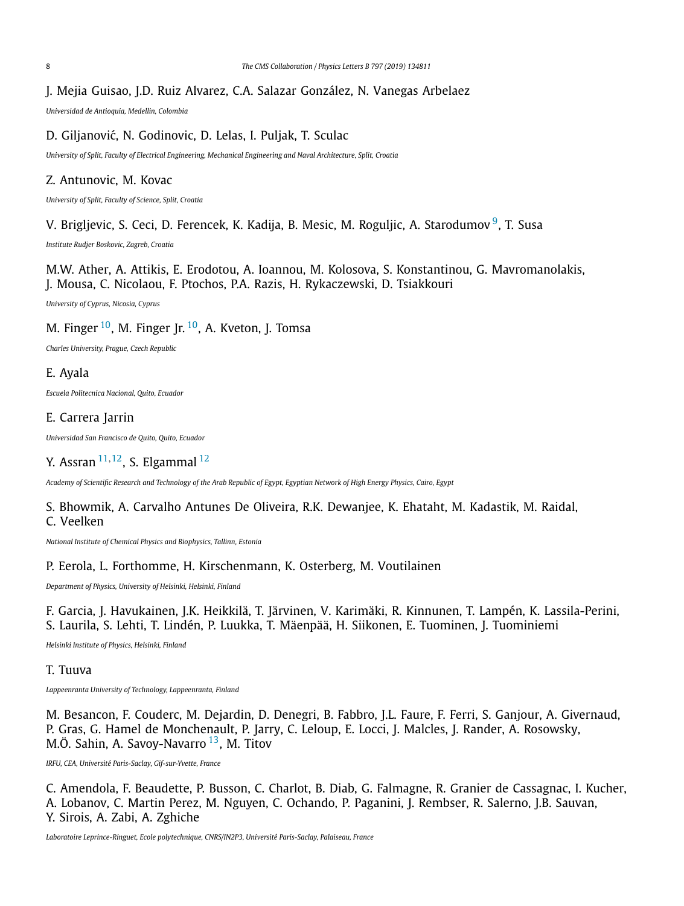## J. Mejia Guisao, J.D. Ruiz Alvarez, C.A. Salazar González, N. Vanegas Arbelaez

*Universidad de Antioquia, Medellin, Colombia*

#### D. Giljanović, N. Godinovic, D. Lelas, I. Puljak, T. Sculac

*University of Split, Faculty of Electrical Engineering, Mechanical Engineering and Naval Architecture, Split, Croatia*

#### Z. Antunovic, M. Kovac

*University of Split, Faculty of Science, Split, Croatia*

# V. Brigljevic, S. Ceci, D. Ferencek, K. Kadija, B. Mesic, M. Roguljic, A. Starodumov<sup>9</sup>. T. Susa

*Institute Rudjer Boskovic, Zagreb, Croatia*

M.W. Ather, A. Attikis, E. Erodotou, A. Ioannou, M. Kolosova, S. Konstantinou, G. Mavromanolakis, J. Mousa, C. Nicolaou, F. Ptochos, P.A. Razis, H. Rykaczewski, D. Tsiakkouri

*University of Cyprus, Nicosia, Cyprus*

M. Finger  $10$ , M. Finger Jr.  $10$ , A. Kveton, J. Tomsa

*Charles University, Prague, Czech Republic*

E. Ayala *Escuela Politecnica Nacional, Quito, Ecuador*

#### E. Carrera Jarrin

*Universidad San Francisco de Quito, Quito, Ecuador*

# Y. Assran [11](#page-21-0)*,*[12,](#page-21-0) S. Elgammal [12](#page-21-0)

Academy of Scientific Research and Technology of the Arab Republic of Egypt, Egyptian Network of High Energy Physics, Cairo, Egypt

## S. Bhowmik, A. Carvalho Antunes De Oliveira, R.K. Dewanjee, K. Ehataht, M. Kadastik, M. Raidal, C. Veelken

*National Institute of Chemical Physics and Biophysics, Tallinn, Estonia*

#### P. Eerola, L. Forthomme, H. Kirschenmann, K. Osterberg, M. Voutilainen

*Department of Physics, University of Helsinki, Helsinki, Finland*

F. Garcia, J. Havukainen, J.K. Heikkilä, T. Järvinen, V. Karimäki, R. Kinnunen, T. Lampén, K. Lassila-Perini, S. Laurila, S. Lehti, T. Lindén, P. Luukka, T. Mäenpää, H. Siikonen, E. Tuominen, J. Tuominiemi

*Helsinki Institute of Physics, Helsinki, Finland*

#### T. Tuuva

*Lappeenranta University of Technology, Lappeenranta, Finland*

M. Besancon, F. Couderc, M. Dejardin, D. Denegri, B. Fabbro, J.L. Faure, F. Ferri, S. Ganjour, A. Givernaud, P. Gras, G. Hamel de Monchenault, P. Jarry, C. Leloup, E. Locci, J. Malcles, J. Rander, A. Rosowsky, M.Ö. Sahin, A. Savoy-Navarro<sup>13</sup>, M. Titov

*IRFU, CEA, Université Paris-Saclay, Gif-sur-Yvette, France*

C. Amendola, F. Beaudette, P. Busson, C. Charlot, B. Diab, G. Falmagne, R. Granier de Cassagnac, I. Kucher, A. Lobanov, C. Martin Perez, M. Nguyen, C. Ochando, P. Paganini, J. Rembser, R. Salerno, J.B. Sauvan, Y. Sirois, A. Zabi, A. Zghiche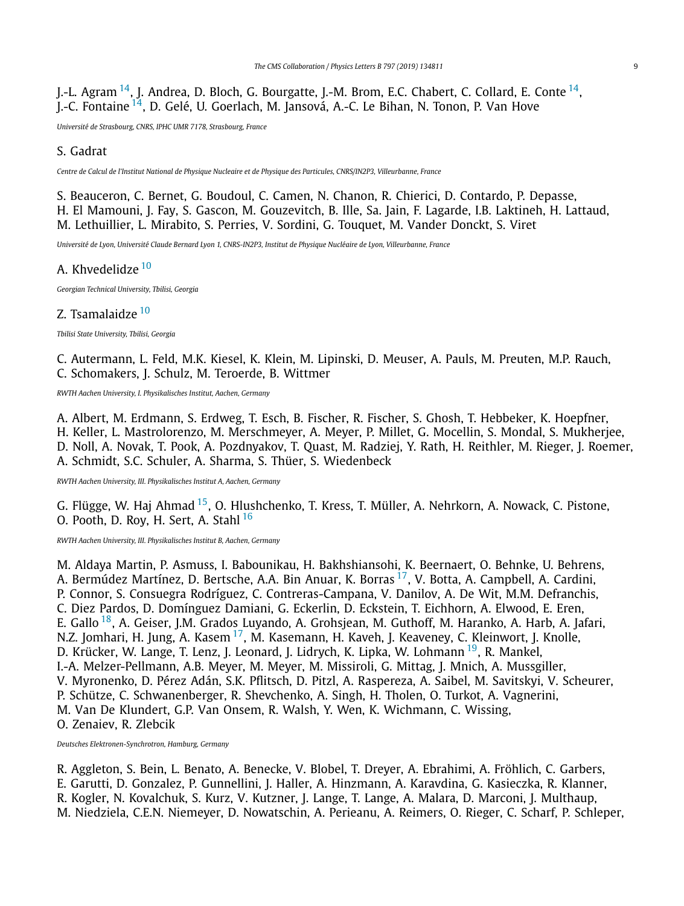J.-L. Agram  $^{14}$ , J. Andrea, D. Bloch, G. Bourgatte, J.-M. Brom, E.C. Chabert, C. Collard, E. Conte  $^{14}$ , J.-C. Fontaine [14,](#page-21-0) D. Gelé, U. Goerlach, M. Jansová, A.-C. Le Bihan, N. Tonon, P. Van Hove

*Université de Strasbourg, CNRS, IPHC UMR 7178, Strasbourg, France*

#### S. Gadrat

Centre de Calcul de l'Institut National de Physique Nucleaire et de Physique des Particules, CNRS/IN2P3, Villeurbanne, France

S. Beauceron, C. Bernet, G. Boudoul, C. Camen, N. Chanon, R. Chierici, D. Contardo, P. Depasse, H. El Mamouni, J. Fay, S. Gascon, M. Gouzevitch, B. Ille, Sa. Jain, F. Lagarde, I.B. Laktineh, H. Lattaud, M. Lethuillier, L. Mirabito, S. Perries, V. Sordini, G. Touquet, M. Vander Donckt, S. Viret

Université de Lyon, Université Claude Bernard Lyon 1, CNRS-IN2P3, Institut de Physique Nucléaire de Lyon, Villeurbanne, France

## A. Khvedelidze<sup>[10](#page-21-0)</sup>

*Georgian Technical University, Tbilisi, Georgia*

## Z. Tsamalaidze [10](#page-21-0)

*Tbilisi State University, Tbilisi, Georgia*

C. Autermann, L. Feld, M.K. Kiesel, K. Klein, M. Lipinski, D. Meuser, A. Pauls, M. Preuten, M.P. Rauch, C. Schomakers, J. Schulz, M. Teroerde, B. Wittmer

*RWTH Aachen University, I. Physikalisches Institut, Aachen, Germany*

A. Albert, M. Erdmann, S. Erdweg, T. Esch, B. Fischer, R. Fischer, S. Ghosh, T. Hebbeker, K. Hoepfner, H. Keller, L. Mastrolorenzo, M. Merschmeyer, A. Meyer, P. Millet, G. Mocellin, S. Mondal, S. Mukherjee, D. Noll, A. Novak, T. Pook, A. Pozdnyakov, T. Quast, M. Radziej, Y. Rath, H. Reithler, M. Rieger, J. Roemer, A. Schmidt, S.C. Schuler, A. Sharma, S. Thüer, S. Wiedenbeck

*RWTH Aachen University, III. Physikalisches Institut A, Aachen, Germany*

G. Flügge, W. Haj Ahmad [15,](#page-21-0) O. Hlushchenko, T. Kress, T. Müller, A. Nehrkorn, A. Nowack, C. Pistone, O. Pooth, D. Roy, H. Sert, A. Stahl [16](#page-21-0)

*RWTH Aachen University, III. Physikalisches Institut B, Aachen, Germany*

M. Aldaya Martin, P. Asmuss, I. Babounikau, H. Bakhshiansohi, K. Beernaert, O. Behnke, U. Behrens, A. Bermúdez Martínez, D. Bertsche, A.A. Bin Anuar, K. Borras [17,](#page-21-0) V. Botta, A. Campbell, A. Cardini, P. Connor, S. Consuegra Rodríguez, C. Contreras-Campana, V. Danilov, A. De Wit, M.M. Defranchis, C. Diez Pardos, D. Domínguez Damiani, G. Eckerlin, D. Eckstein, T. Eichhorn, A. Elwood, E. Eren, E. Gallo [18,](#page-21-0) A. Geiser, J.M. Grados Luyando, A. Grohsjean, M. Guthoff, M. Haranko, A. Harb, A. Jafari, N.Z. Jomhari, H. Jung, A. Kasem [17,](#page-21-0) M. Kasemann, H. Kaveh, J. Keaveney, C. Kleinwort, J. Knolle, D. Krücker, W. Lange, T. Lenz, J. Leonard, J. Lidrych, K. Lipka, W. Lohmann<sup>19</sup>, R. Mankel, I.-A. Melzer-Pellmann, A.B. Meyer, M. Meyer, M. Missiroli, G. Mittag, J. Mnich, A. Mussgiller, V. Myronenko, D. Pérez Adán, S.K. Pflitsch, D. Pitzl, A. Raspereza, A. Saibel, M. Savitskyi, V. Scheurer, P. Schütze, C. Schwanenberger, R. Shevchenko, A. Singh, H. Tholen, O. Turkot, A. Vagnerini, M. Van De Klundert, G.P. Van Onsem, R. Walsh, Y. Wen, K. Wichmann, C. Wissing, O. Zenaiev, R. Zlebcik

*Deutsches Elektronen-Synchrotron, Hamburg, Germany*

R. Aggleton, S. Bein, L. Benato, A. Benecke, V. Blobel, T. Dreyer, A. Ebrahimi, A. Fröhlich, C. Garbers, E. Garutti, D. Gonzalez, P. Gunnellini, J. Haller, A. Hinzmann, A. Karavdina, G. Kasieczka, R. Klanner, R. Kogler, N. Kovalchuk, S. Kurz, V. Kutzner, J. Lange, T. Lange, A. Malara, D. Marconi, J. Multhaup, M. Niedziela, C.E.N. Niemeyer, D. Nowatschin, A. Perieanu, A. Reimers, O. Rieger, C. Scharf, P. Schleper,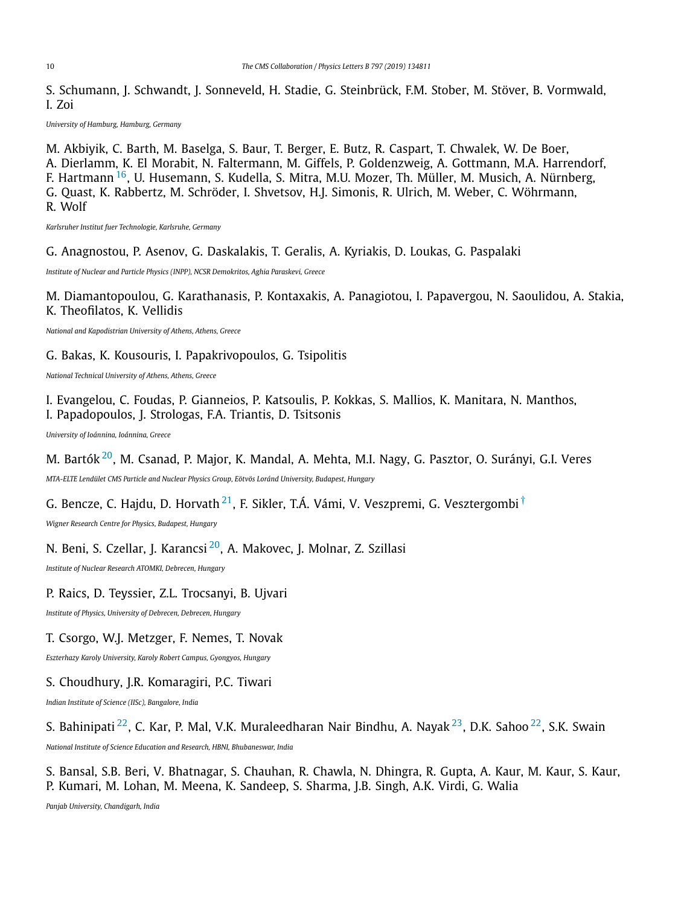S. Schumann, J. Schwandt, J. Sonneveld, H. Stadie, G. Steinbrück, F.M. Stober, M. Stöver, B. Vormwald, I. Zoi

*University of Hamburg, Hamburg, Germany*

M. Akbiyik, C. Barth, M. Baselga, S. Baur, T. Berger, E. Butz, R. Caspart, T. Chwalek, W. De Boer, A. Dierlamm, K. El Morabit, N. Faltermann, M. Giffels, P. Goldenzweig, A. Gottmann, M.A. Harrendorf, F. Hartmann [16,](#page-21-0) U. Husemann, S. Kudella, S. Mitra, M.U. Mozer, Th. Müller, M. Musich, A. Nürnberg, G. Quast, K. Rabbertz, M. Schröder, I. Shvetsov, H.J. Simonis, R. Ulrich, M. Weber, C. Wöhrmann, R. Wolf

*Karlsruher Institut fuer Technologie, Karlsruhe, Germany*

G. Anagnostou, P. Asenov, G. Daskalakis, T. Geralis, A. Kyriakis, D. Loukas, G. Paspalaki

*Institute of Nuclear and Particle Physics (INPP), NCSR Demokritos, Aghia Paraskevi, Greece*

M. Diamantopoulou, G. Karathanasis, P. Kontaxakis, A. Panagiotou, I. Papavergou, N. Saoulidou, A. Stakia, K. Theofilatos, K. Vellidis

*National and Kapodistrian University of Athens, Athens, Greece*

G. Bakas, K. Kousouris, I. Papakrivopoulos, G. Tsipolitis

*National Technical University of Athens, Athens, Greece*

I. Evangelou, C. Foudas, P. Gianneios, P. Katsoulis, P. Kokkas, S. Mallios, K. Manitara, N. Manthos, I. Papadopoulos, J. Strologas, F.A. Triantis, D. Tsitsonis

*University of Ioánnina, Ioánnina, Greece*

M. Bartók [20,](#page-21-0) M. Csanad, P. Major, K. Mandal, A. Mehta, M.I. Nagy, G. Pasztor, O. Surányi, G.I. Veres

*MTA-ELTE Lendület CMS Particle and Nuclear Physics Group, Eötvös Loránd University, Budapest, Hungary*

G. Bencze, C. Hajdu, D. Horvath  $^{21}$ , F. Sikler, T.Á. Vámi, V. Veszpremi, G. Vesztergombi  $^{\dagger}$ 

*Wigner Research Centre for Physics, Budapest, Hungary*

# N. Beni, S. Czellar, J. Karancsi [20,](#page-21-0) A. Makovec, J. Molnar, Z. Szillasi

*Institute of Nuclear Research ATOMKI, Debrecen, Hungary*

#### P. Raics, D. Teyssier, Z.L. Trocsanyi, B. Ujvari

*Institute of Physics, University of Debrecen, Debrecen, Hungary*

#### T. Csorgo, W.J. Metzger, F. Nemes, T. Novak

*Eszterhazy Karoly University, Karoly Robert Campus, Gyongyos, Hungary*

#### S. Choudhury, J.R. Komaragiri, P.C. Tiwari

*Indian Institute of Science (IISc), Bangalore, India*

# S. Bahinipati [22,](#page-21-0) C. Kar, P. Mal, V.K. Muraleedharan Nair Bindhu, A. Nayak [23,](#page-21-0) D.K. Sahoo [22,](#page-21-0) S.K. Swain

*National Institute of Science Education and Research, HBNI, Bhubaneswar, India*

S. Bansal, S.B. Beri, V. Bhatnagar, S. Chauhan, R. Chawla, N. Dhingra, R. Gupta, A. Kaur, M. Kaur, S. Kaur, P. Kumari, M. Lohan, M. Meena, K. Sandeep, S. Sharma, J.B. Singh, A.K. Virdi, G. Walia

*Panjab University, Chandigarh, India*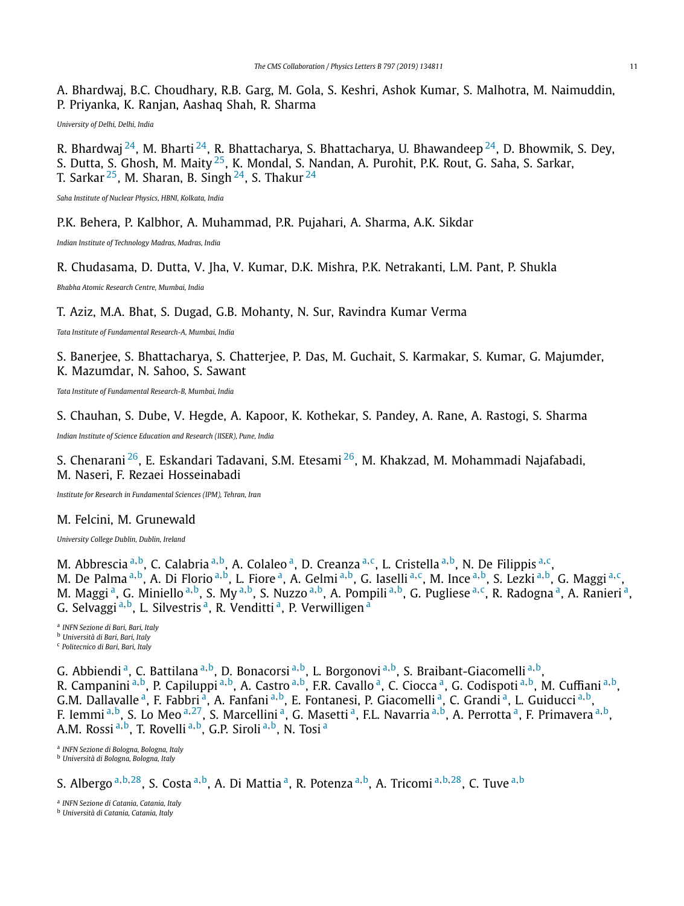A. Bhardwaj, B.C. Choudhary, R.B. Garg, M. Gola, S. Keshri, Ashok Kumar, S. Malhotra, M. Naimuddin, P. Priyanka, K. Ranjan, Aashaq Shah, R. Sharma

*University of Delhi, Delhi, India*

R. Bhardwaj  $^{24}$  $^{24}$  $^{24}$ , M. Bharti  $^{24}$ , R. Bhattacharya, S. Bhattacharya, U. Bhawandeep  $^{24}$ , D. Bhowmik, S. Dey, S. Dutta, S. Ghosh, M. Maity [25,](#page-21-0) K. Mondal, S. Nandan, A. Purohit, P.K. Rout, G. Saha, S. Sarkar, T. Sarkar  $^{25}$ , M. Sharan, B. Singh  $^{24}$  $^{24}$  $^{24}$ , S. Thakur  $^{24}$ 

*Saha Institute of Nuclear Physics, HBNI, Kolkata, India*

P.K. Behera, P. Kalbhor, A. Muhammad, P.R. Pujahari, A. Sharma, A.K. Sikdar

*Indian Institute of Technology Madras, Madras, India*

R. Chudasama, D. Dutta, V. Jha, V. Kumar, D.K. Mishra, P.K. Netrakanti, L.M. Pant, P. Shukla

*Bhabha Atomic Research Centre, Mumbai, India*

T. Aziz, M.A. Bhat, S. Dugad, G.B. Mohanty, N. Sur, Ravindra Kumar Verma

*Tata Institute of Fundamental Research-A, Mumbai, India*

S. Banerjee, S. Bhattacharya, S. Chatterjee, P. Das, M. Guchait, S. Karmakar, S. Kumar, G. Majumder, K. Mazumdar, N. Sahoo, S. Sawant

*Tata Institute of Fundamental Research-B, Mumbai, India*

S. Chauhan, S. Dube, V. Hegde, A. Kapoor, K. Kothekar, S. Pandey, A. Rane, A. Rastogi, S. Sharma

*Indian Institute of Science Education and Research (IISER), Pune, India*

S. Chenarani [26,](#page-21-0) E. Eskandari Tadavani, S.M. Etesami [26,](#page-21-0) M. Khakzad, M. Mohammadi Najafabadi, M. Naseri, F. Rezaei Hosseinabadi

*Institute for Research in Fundamental Sciences (IPM), Tehran, Iran*

#### M. Felcini, M. Grunewald

*University College Dublin, Dublin, Ireland*

M. Abbrescia <sup>a</sup>*,*b, C. Calabria <sup>a</sup>*,*b, A. Colaleo a, D. Creanza <sup>a</sup>*,*c, L. Cristella <sup>a</sup>*,*b, N. De Filippis <sup>a</sup>*,*c, M. De Palma <sup>a</sup>*,*b, A. Di Florio <sup>a</sup>*,*b, L. Fiore a, A. Gelmi <sup>a</sup>*,*b, G. Iaselli <sup>a</sup>*,*c, M. Ince <sup>a</sup>*,*b, S. Lezki <sup>a</sup>*,*b, G. Maggi <sup>a</sup>*,*c, M. Maggi a, G. Miniello <sup>a</sup>*,*b, S. My <sup>a</sup>*,*b, S. Nuzzo <sup>a</sup>*,*b, A. Pompili <sup>a</sup>*,*b, G. Pugliese <sup>a</sup>*,*c, R. Radogna a, A. Ranieri a, G. Selvaggi a, <sup>b</sup>, L. Silvestris <sup>a</sup>, R. Venditti <sup>a</sup>, P. Verwilligen <sup>a</sup>

<sup>a</sup> *INFN Sezione di Bari, Bari, Italy*

- <sup>b</sup> *Università di Bari, Bari, Italy*
- <sup>c</sup> *Politecnico di Bari, Bari, Italy*

G. Abbiendi a, C. Battilana <sup>a</sup>*,*b, D. Bonacorsi <sup>a</sup>*,*b, L. Borgonovi <sup>a</sup>*,*b, S. Braibant-Giacomelli <sup>a</sup>*,*b, R. Campanini <sup>a</sup>*,*b, P. Capiluppi <sup>a</sup>*,*b, A. Castro <sup>a</sup>*,*b, F.R. Cavallo a, C. Ciocca a, G. Codispoti <sup>a</sup>*,*b, M. Cuffiani <sup>a</sup>*,*b, G.M. Dallavalle <sup>a</sup>, F. Fabbri <sup>a</sup>, A. Fanfani <sup>a, b</sup>, E. Fontanesi, P. Giacomelli <sup>a</sup>, C. Grandi <sup>a</sup>, L. Guiducci <sup>a, b</sup>, F. Iemmi <sup>a</sup>*,*b, S. Lo Meo <sup>a</sup>*,*[27,](#page-21-0) S. Marcellini a, G. Masetti a, F.L. Navarria <sup>a</sup>*,*b, A. Perrotta a, F. Primavera <sup>a</sup>*,*b, A.M. Rossi <sup>a</sup>*,*b, T. Rovelli <sup>a</sup>*,*b, G.P. Siroli <sup>a</sup>*,*b, N. Tosi <sup>a</sup>

<sup>a</sup> *INFN Sezione di Bologna, Bologna, Italy*

<sup>b</sup> *Università di Bologna, Bologna, Italy*

S. Albergo <sup>a</sup>*,*b*,*[28,](#page-21-0) S. Costa <sup>a</sup>*,*b, A. Di Mattia a, R. Potenza <sup>a</sup>*,*b, A. Tricomi <sup>a</sup>*,*b*,*[28,](#page-21-0) C. Tuve <sup>a</sup>*,*<sup>b</sup>

<sup>a</sup> *INFN Sezione di Catania, Catania, Italy*

<sup>b</sup> *Università di Catania, Catania, Italy*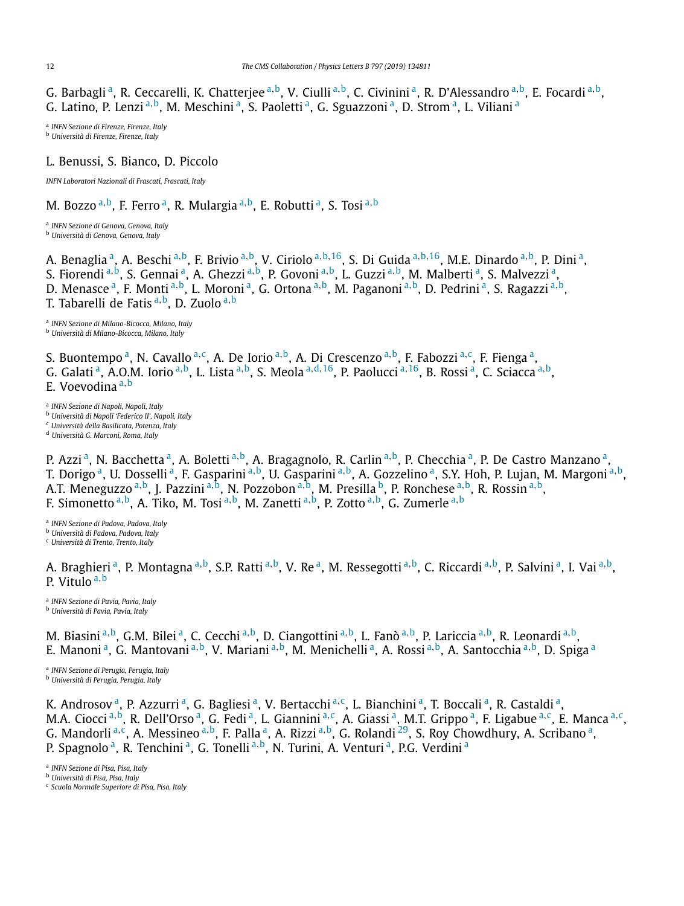G. Barbagli a, R. Ceccarelli, K. Chatterjee <sup>a</sup>*,*b, V. Ciulli <sup>a</sup>*,*b, C. Civinini a, R. D'Alessandro <sup>a</sup>*,*b, E. Focardi <sup>a</sup>*,*b, G. Latino, P. Lenzi a, b, M. Meschini <sup>a</sup>, S. Paoletti <sup>a</sup>, G. Sguazzoni <sup>a</sup>, D. Strom <sup>a</sup>, L. Viliani <sup>a</sup>

<sup>a</sup> *INFN Sezione di Firenze, Firenze, Italy* <sup>b</sup> *Università di Firenze, Firenze, Italy*

#### L. Benussi, S. Bianco, D. Piccolo

*INFN Laboratori Nazionali di Frascati, Frascati, Italy*

# M. Bozzo <sup>a</sup>*,*b, F. Ferro a, R. Mulargia <sup>a</sup>*,*b, E. Robutti a, S. Tosi <sup>a</sup>*,*<sup>b</sup>

<sup>a</sup> *INFN Sezione di Genova, Genova, Italy* <sup>b</sup> *Università di Genova, Genova, Italy*

A. Benaglia a, A. Beschi <sup>a</sup>*,*b, F. Brivio <sup>a</sup>*,*b, V. Ciriolo <sup>a</sup>*,*b*,*[16,](#page-21-0) S. Di Guida <sup>a</sup>*,*b*,*[16,](#page-21-0) M.E. Dinardo <sup>a</sup>*,*b, P. Dini a, S. Fiorendi <sup>a</sup>*,*b, S. Gennai a, A. Ghezzi <sup>a</sup>*,*b, P. Govoni <sup>a</sup>*,*b, L. Guzzi <sup>a</sup>*,*b, M. Malberti a, S. Malvezzi a, D. Menasce a, F. Monti <sup>a</sup>*,*b, L. Moroni a, G. Ortona <sup>a</sup>*,*b, M. Paganoni <sup>a</sup>*,*b, D. Pedrini a, S. Ragazzi <sup>a</sup>*,*b, T. Tabarelli de Fatis <sup>a</sup>*,*b, D. Zuolo <sup>a</sup>*,*<sup>b</sup>

<sup>a</sup> *INFN Sezione di Milano-Bicocca, Milano, Italy*

<sup>b</sup> *Università di Milano-Bicocca, Milano, Italy*

S. Buontempo a, N. Cavallo <sup>a</sup>*,*c, A. De Iorio <sup>a</sup>*,*b, A. Di Crescenzo <sup>a</sup>*,*b, F. Fabozzi <sup>a</sup>*,*c, F. Fienga a, G. Galati a, A.O.M. Iorio <sup>a</sup>*,*b, L. Lista <sup>a</sup>*,*b, S. Meola <sup>a</sup>*,*d*,*[16,](#page-21-0) P. Paolucci <sup>a</sup>*,*[16,](#page-21-0) B. Rossi a, C. Sciacca <sup>a</sup>*,*b, E. Voevodina <sup>a</sup>*,*<sup>b</sup>

<sup>a</sup> *INFN Sezione di Napoli, Napoli, Italy*

<sup>b</sup> *Università di Napoli 'Federico II', Napoli, Italy*

<sup>c</sup> *Università della Basilicata, Potenza, Italy*

<sup>d</sup> *Università G. Marconi, Roma, Italy*

P. Azzi<sup>a</sup>, N. Bacchetta<sup>a</sup>, A. Boletti<sup>a,b</sup>, A. Bragagnolo, R. Carlin<sup>a,b</sup>, P. Checchia<sup>a</sup>, P. De Castro Manzano<sup>a</sup>, T. Dorigo a, U. Dosselli a, F. Gasparini <sup>a</sup>*,*b, U. Gasparini <sup>a</sup>*,*b, A. Gozzelino a, S.Y. Hoh, P. Lujan, M. Margoni <sup>a</sup>*,*b, A.T. Meneguzzo <sup>a</sup>*,*b, J. Pazzini <sup>a</sup>*,*b, N. Pozzobon <sup>a</sup>*,*b, M. Presilla b, P. Ronchese <sup>a</sup>*,*b, R. Rossin <sup>a</sup>*,*b, F. Simonetto <sup>a</sup>*,*b, A. Tiko, M. Tosi <sup>a</sup>*,*b, M. Zanetti <sup>a</sup>*,*b, P. Zotto <sup>a</sup>*,*b, G. Zumerle <sup>a</sup>*,*<sup>b</sup>

<sup>a</sup> *INFN Sezione di Padova, Padova, Italy*

<sup>b</sup> *Università di Padova, Padova, Italy*

<sup>c</sup> *Università di Trento, Trento, Italy*

A. Braghieri a, P. Montagna <sup>a</sup>*,*b, S.P. Ratti <sup>a</sup>*,*b, V. Re a, M. Ressegotti <sup>a</sup>*,*b, C. Riccardi <sup>a</sup>*,*b, P. Salvini a, I. Vai <sup>a</sup>*,*b, P. Vitulo <sup>a</sup>*,*<sup>b</sup>

<sup>a</sup> *INFN Sezione di Pavia, Pavia, Italy* <sup>b</sup> *Università di Pavia, Pavia, Italy*

M. Biasini <sup>a</sup>*,*b, G.M. Bilei a, C. Cecchi <sup>a</sup>*,*b, D. Ciangottini <sup>a</sup>*,*b, L. Fanò <sup>a</sup>*,*b, P. Lariccia <sup>a</sup>*,*b, R. Leonardi <sup>a</sup>*,*b, E. Manoni a, G. Mantovani <sup>a</sup>*,*b, V. Mariani <sup>a</sup>*,*b, M. Menichelli a, A. Rossi <sup>a</sup>*,*b, A. Santocchia <sup>a</sup>*,*b, D. Spiga <sup>a</sup>

<sup>a</sup> *INFN Sezione di Perugia, Perugia, Italy*

<sup>b</sup> *Università di Perugia, Perugia, Italy*

K. Androsov<sup>a</sup>, P. Azzurri<sup>a</sup>, G. Bagliesi<sup>a</sup>, V. Bertacchi<sup>a, c</sup>, L. Bianchini<sup>a</sup>, T. Boccali<sup>a</sup>, R. Castaldi<sup>a</sup>, M.A. Ciocci a, b, R. Dell'Orso a, G. Fedi a, L. Giannini a,c, A. Giassi a, M.T. Grippo a, F. Ligabue a,c, E. Manca a,c, G. Mandorli <sup>a</sup>*,*c, A. Messineo <sup>a</sup>*,*b, F. Palla a, A. Rizzi <sup>a</sup>*,*b, G. Rolandi [29,](#page-21-0) S. Roy Chowdhury, A. Scribano a, P. Spagnolo<sup>a</sup>, R. Tenchini<sup>a</sup>, G. Tonelli<sup>a, b</sup>, N. Turini, A. Venturi<sup>a</sup>, P.G. Verdini<sup>a</sup>

<sup>a</sup> *INFN Sezione di Pisa, Pisa, Italy*

<sup>b</sup> *Università di Pisa, Pisa, Italy*

<sup>c</sup> *Scuola Normale Superiore di Pisa, Pisa, Italy*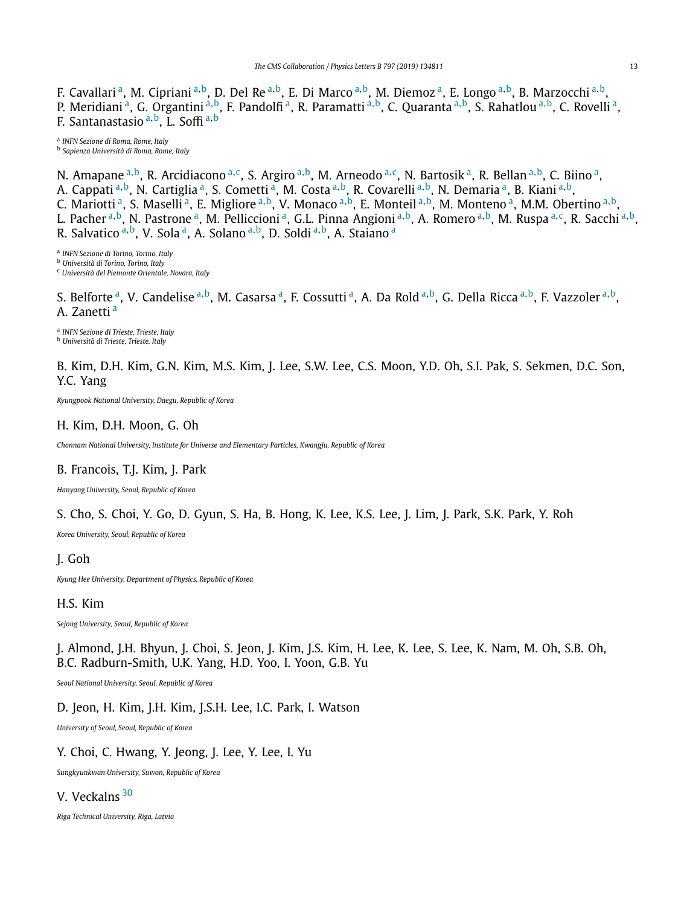F. Cavallari a, M. Cipriani <sup>a</sup>*,*b, D. Del Re <sup>a</sup>*,*b, E. Di Marco <sup>a</sup>*,*b, M. Diemoz a, E. Longo <sup>a</sup>*,*b, B. Marzocchi <sup>a</sup>*,*b, P. Meridiani a, G. Organtini <sup>a</sup>*,*b, F. Pandolfi a, R. Paramatti <sup>a</sup>*,*b, C. Quaranta <sup>a</sup>*,*b, S. Rahatlou <sup>a</sup>*,*b, C. Rovelli a, F. Santanastasio <sup>a</sup>*,*b, L. Soffi <sup>a</sup>*,*<sup>b</sup>

<sup>a</sup> *INFN Sezione di Roma, Rome, Italy* <sup>b</sup> *Sapienza Università di Roma, Rome, Italy*

N. Amapane <sup>a</sup>*,*b, R. Arcidiacono <sup>a</sup>*,*c, S. Argiro <sup>a</sup>*,*b, M. Arneodo <sup>a</sup>*,*c, N. Bartosik a, R. Bellan <sup>a</sup>*,*b, C. Biino a, A. Cappati a,b, N. Cartiglia <sup>a</sup>, S. Cometti <sup>a</sup>, M. Costa <sup>a,b</sup>, R. Covarelli a,b, N. Demaria <sup>a</sup>, B. Kiani a,b, C. Mariotti a, S. Maselli a, E. Migliore <sup>a</sup>*,*b, V. Monaco <sup>a</sup>*,*b, E. Monteil <sup>a</sup>*,*b, M. Monteno a, M.M. Obertino <sup>a</sup>*,*b, L. Pacher <sup>a</sup>*,*b, N. Pastrone a, M. Pelliccioni a, G.L. Pinna Angioni <sup>a</sup>*,*b, A. Romero <sup>a</sup>*,*b, M. Ruspa <sup>a</sup>*,*c, R. Sacchi <sup>a</sup>*,*b, R. Salvatico <sup>a</sup>*,*b, V. Sola a, A. Solano <sup>a</sup>*,*b, D. Soldi <sup>a</sup>*,*b, A. Staiano <sup>a</sup>

<sup>a</sup> *INFN Sezione di Torino, Torino, Italy*

<sup>b</sup> *Università di Torino, Torino, Italy*

<sup>c</sup> *Università del Piemonte Orientale, Novara, Italy*

S. Belforte a, V. Candelise <sup>a</sup>*,*b, M. Casarsa a, F. Cossutti a, A. Da Rold <sup>a</sup>*,*b, G. Della Ricca <sup>a</sup>*,*b, F. Vazzoler <sup>a</sup>*,*b, A. Zanetti<sup>a</sup>

<sup>a</sup> *INFN Sezione di Trieste, Trieste, Italy* <sup>b</sup> *Università di Trieste, Trieste, Italy*

B. Kim, D.H. Kim, G.N. Kim, M.S. Kim, J. Lee, S.W. Lee, C.S. Moon, Y.D. Oh, S.I. Pak, S. Sekmen, D.C. Son, Y.C. Yang

*Kyungpook National University, Daegu, Republic of Korea*

### H. Kim, D.H. Moon, G. Oh

*Chonnam National University, Institute for Universe and Elementary Particles, Kwangju, Republic of Korea*

### B. Francois, T.J. Kim, J. Park

*Hanyang University, Seoul, Republic of Korea*

### S. Cho, S. Choi, Y. Go, D. Gyun, S. Ha, B. Hong, K. Lee, K.S. Lee, J. Lim, J. Park, S.K. Park, Y. Roh

*Korea University, Seoul, Republic of Korea*

J. Goh

*Kyung Hee University, Department of Physics, Republic of Korea*

### H.S. Kim

*Sejong University, Seoul, Republic of Korea*

J. Almond, J.H. Bhyun, J. Choi, S. Jeon, J. Kim, J.S. Kim, H. Lee, K. Lee, S. Lee, K. Nam, M. Oh, S.B. Oh, B.C. Radburn-Smith, U.K. Yang, H.D. Yoo, I. Yoon, G.B. Yu

*Seoul National University, Seoul, Republic of Korea*

D. Jeon, H. Kim, J.H. Kim, J.S.H. Lee, I.C. Park, I. Watson

*University of Seoul, Seoul, Republic of Korea*

### Y. Choi, C. Hwang, Y. Jeong, J. Lee, Y. Lee, I. Yu

*Sungkyunkwan University, Suwon, Republic of Korea*

# V. Veckalns [30](#page-21-0)

*Riga Technical University, Riga, Latvia*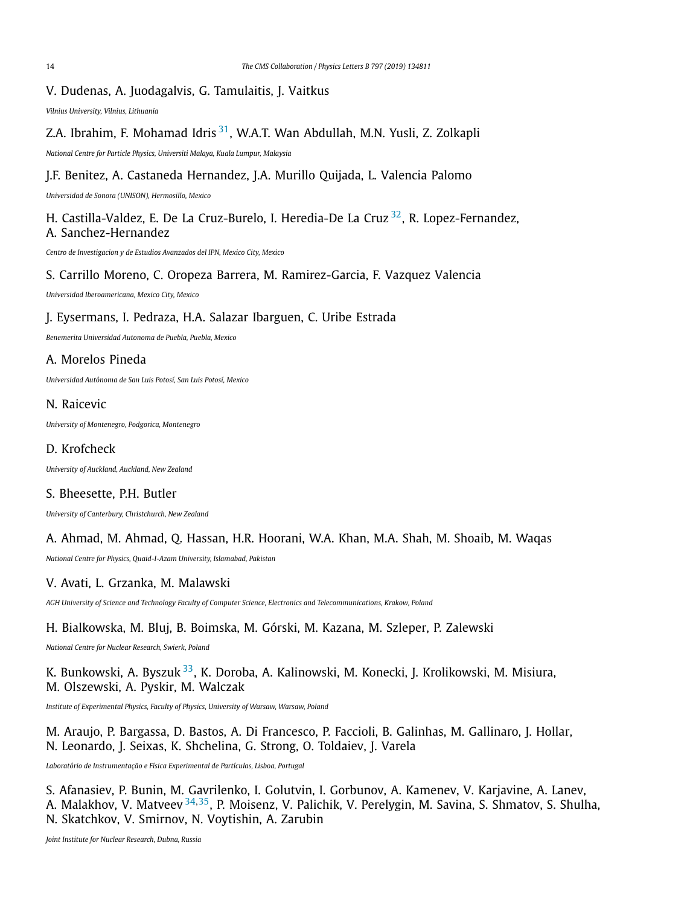## V. Dudenas, A. Juodagalvis, G. Tamulaitis, J. Vaitkus

*Vilnius University, Vilnius, Lithuania*

# Z.A. Ibrahim, F. Mohamad Idris<sup>[31](#page-21-0)</sup>, W.A.T. Wan Abdullah, M.N. Yusli, Z. Zolkapli

*National Centre for Particle Physics, Universiti Malaya, Kuala Lumpur, Malaysia*

## J.F. Benitez, A. Castaneda Hernandez, J.A. Murillo Quijada, L. Valencia Palomo

*Universidad de Sonora (UNISON), Hermosillo, Mexico*

# H. Castilla-Valdez, E. De La Cruz-Burelo, I. Heredia-De La Cruz<sup>32</sup>, R. Lopez-Fernandez. A. Sanchez-Hernandez

*Centro de Investigacion y de Estudios Avanzados del IPN, Mexico City, Mexico*

## S. Carrillo Moreno, C. Oropeza Barrera, M. Ramirez-Garcia, F. Vazquez Valencia

*Universidad Iberoamericana, Mexico City, Mexico*

## J. Eysermans, I. Pedraza, H.A. Salazar Ibarguen, C. Uribe Estrada

*Benemerita Universidad Autonoma de Puebla, Puebla, Mexico*

### A. Morelos Pineda

*Universidad Autónoma de San Luis Potosí, San Luis Potosí, Mexico*

## N. Raicevic

*University of Montenegro, Podgorica, Montenegro*

#### D. Krofcheck

*University of Auckland, Auckland, New Zealand*

## S. Bheesette, P.H. Butler

*University of Canterbury, Christchurch, New Zealand*

### A. Ahmad, M. Ahmad, Q. Hassan, H.R. Hoorani, W.A. Khan, M.A. Shah, M. Shoaib, M. Waqas

*National Centre for Physics, Quaid-I-Azam University, Islamabad, Pakistan*

### V. Avati, L. Grzanka, M. Malawski

AGH University of Science and Technology Faculty of Computer Science, Electronics and Telecommunications, Krakow, Poland

### H. Bialkowska, M. Bluj, B. Boimska, M. Górski, M. Kazana, M. Szleper, P. Zalewski

*National Centre for Nuclear Research, Swierk, Poland*

# K. Bunkowski, A. Byszuk<sup>[33](#page-21-0)</sup>, K. Doroba, A. Kalinowski, M. Konecki, J. Krolikowski, M. Misiura, M. Olszewski, A. Pyskir, M. Walczak

*Institute of Experimental Physics, Faculty of Physics, University of Warsaw, Warsaw, Poland*

M. Araujo, P. Bargassa, D. Bastos, A. Di Francesco, P. Faccioli, B. Galinhas, M. Gallinaro, J. Hollar, N. Leonardo, J. Seixas, K. Shchelina, G. Strong, O. Toldaiev, J. Varela

*Laboratório de Instrumentação e Física Experimental de Partículas, Lisboa, Portugal*

S. Afanasiev, P. Bunin, M. Gavrilenko, I. Golutvin, I. Gorbunov, A. Kamenev, V. Karjavine, A. Lanev, A. Malakhov, V. Matveev [34](#page-21-0)*,*[35,](#page-21-0) P. Moisenz, V. Palichik, V. Perelygin, M. Savina, S. Shmatov, S. Shulha, N. Skatchkov, V. Smirnov, N. Voytishin, A. Zarubin

*Joint Institute for Nuclear Research, Dubna, Russia*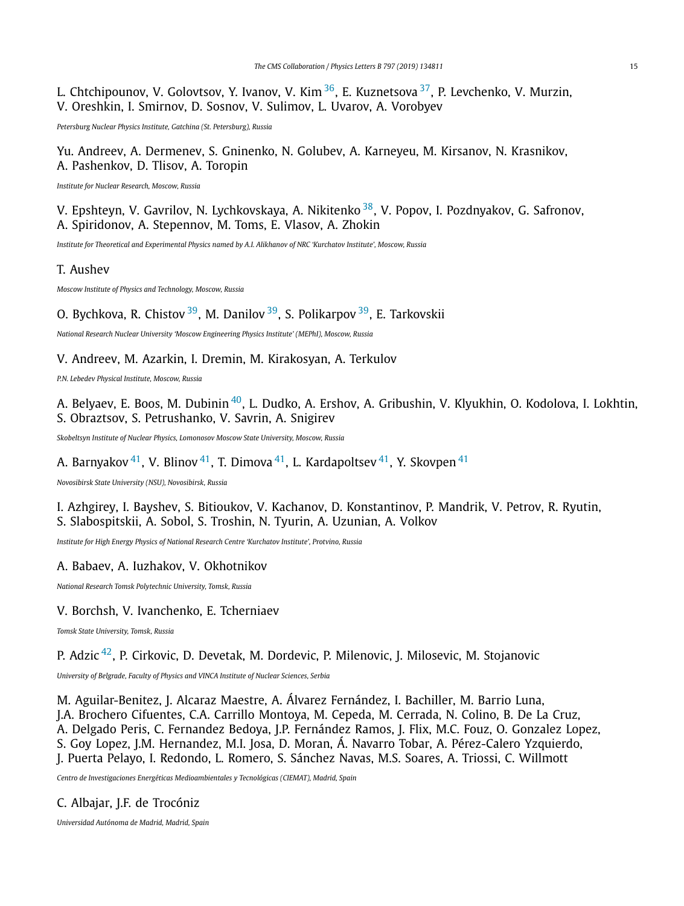L. Chtchipounov, V. Golovtsov, Y. Ivanov, V. Kim<sup>36</sup>, E. Kuznetsova<sup>37</sup>, P. Levchenko, V. Murzin, V. Oreshkin, I. Smirnov, D. Sosnov, V. Sulimov, L. Uvarov, A. Vorobyev

*Petersburg Nuclear Physics Institute, Gatchina (St. Petersburg), Russia*

Yu. Andreev, A. Dermenev, S. Gninenko, N. Golubev, A. Karneyeu, M. Kirsanov, N. Krasnikov, A. Pashenkov, D. Tlisov, A. Toropin

*Institute for Nuclear Research, Moscow, Russia*

V. Epshteyn, V. Gavrilov, N. Lychkovskaya, A. Nikitenko<sup>38</sup>, V. Popov, I. Pozdnyakov, G. Safronov, A. Spiridonov, A. Stepennov, M. Toms, E. Vlasov, A. Zhokin

Institute for Theoretical and Experimental Physics named by A.I. Alikhanov of NRC 'Kurchatov Institute', Moscow, Russia

#### T. Aushev

*Moscow Institute of Physics and Technology, Moscow, Russia*

O. Bychkova, R. Chistov<sup>39</sup>, M. Danilov<sup>39</sup>, S. Polikarpov<sup>39</sup>, E. Tarkovskii

*National Research Nuclear University 'Moscow Engineering Physics Institute' (MEPhI), Moscow, Russia*

#### V. Andreev, M. Azarkin, I. Dremin, M. Kirakosyan, A. Terkulov

*P.N. Lebedev Physical Institute, Moscow, Russia*

A. Belyaev, E. Boos, M. Dubinin <sup>40</sup>, L. Dudko, A. Ershov, A. Gribushin, V. Klyukhin, O. Kodolova, I. Lokhtin, S. Obraztsov, S. Petrushanko, V. Savrin, A. Snigirev

*Skobeltsyn Institute of Nuclear Physics, Lomonosov Moscow State University, Moscow, Russia*

A. Barnyakov  $^{41}$  $^{41}$  $^{41}$ , V. Blinov  $^{41}$ , T. Dimova  $^{41}$ , L. Kardapoltsev  $^{41}$ , Y. Skovpen  $^{41}$ 

*Novosibirsk State University (NSU), Novosibirsk, Russia*

I. Azhgirey, I. Bayshev, S. Bitioukov, V. Kachanov, D. Konstantinov, P. Mandrik, V. Petrov, R. Ryutin, S. Slabospitskii, A. Sobol, S. Troshin, N. Tyurin, A. Uzunian, A. Volkov

*Institute for High Energy Physics of National Research Centre 'Kurchatov Institute', Protvino, Russia*

#### A. Babaev, A. Iuzhakov, V. Okhotnikov

*National Research Tomsk Polytechnic University, Tomsk, Russia*

#### V. Borchsh, V. Ivanchenko, E. Tcherniaev

*Tomsk State University, Tomsk, Russia*

P. Adzic [42,](#page-21-0) P. Cirkovic, D. Devetak, M. Dordevic, P. Milenovic, J. Milosevic, M. Stojanovic

*University of Belgrade, Faculty of Physics and VINCA Institute of Nuclear Sciences, Serbia*

M. Aguilar-Benitez, J. Alcaraz Maestre, A. Álvarez Fernández, I. Bachiller, M. Barrio Luna, J.A. Brochero Cifuentes, C.A. Carrillo Montoya, M. Cepeda, M. Cerrada, N. Colino, B. De La Cruz, A. Delgado Peris, C. Fernandez Bedoya, J.P. Fernández Ramos, J. Flix, M.C. Fouz, O. Gonzalez Lopez, S. Goy Lopez, J.M. Hernandez, M.I. Josa, D. Moran, Á. Navarro Tobar, A. Pérez-Calero Yzquierdo, J. Puerta Pelayo, I. Redondo, L. Romero, S. Sánchez Navas, M.S. Soares, A. Triossi, C. Willmott

*Centro de Investigaciones Energéticas Medioambientales y Tecnológicas (CIEMAT), Madrid, Spain*

C. Albajar, J.F. de Trocóniz

*Universidad Autónoma de Madrid, Madrid, Spain*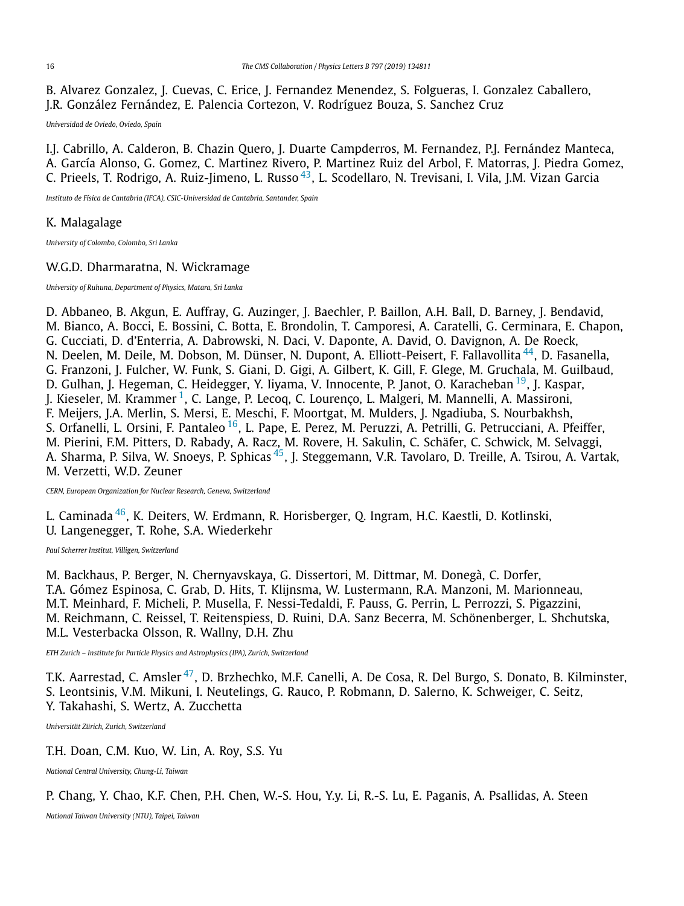B. Alvarez Gonzalez, J. Cuevas, C. Erice, J. Fernandez Menendez, S. Folgueras, I. Gonzalez Caballero, J.R. González Fernández, E. Palencia Cortezon, V. Rodríguez Bouza, S. Sanchez Cruz

*Universidad de Oviedo, Oviedo, Spain*

I.J. Cabrillo, A. Calderon, B. Chazin Quero, J. Duarte Campderros, M. Fernandez, P.J. Fernández Manteca, A. García Alonso, G. Gomez, C. Martinez Rivero, P. Martinez Ruiz del Arbol, F. Matorras, J. Piedra Gomez, C. Prieels, T. Rodrigo, A. Ruiz-Jimeno, L. Russo<sup>43</sup>, L. Scodellaro, N. Trevisani, I. Vila, J.M. Vizan Garcia

*Instituto de Física de Cantabria (IFCA), CSIC-Universidad de Cantabria, Santander, Spain*

#### K. Malagalage

*University of Colombo, Colombo, Sri Lanka*

#### W.G.D. Dharmaratna, N. Wickramage

*University of Ruhuna, Department of Physics, Matara, Sri Lanka*

D. Abbaneo, B. Akgun, E. Auffray, G. Auzinger, J. Baechler, P. Baillon, A.H. Ball, D. Barney, J. Bendavid, M. Bianco, A. Bocci, E. Bossini, C. Botta, E. Brondolin, T. Camporesi, A. Caratelli, G. Cerminara, E. Chapon, G. Cucciati, D. d'Enterria, A. Dabrowski, N. Daci, V. Daponte, A. David, O. Davignon, A. De Roeck, N. Deelen, M. Deile, M. Dobson, M. Dünser, N. Dupont, A. Elliott-Peisert, F. Fallavollita [44,](#page-21-0) D. Fasanella, G. Franzoni, J. Fulcher, W. Funk, S. Giani, D. Gigi, A. Gilbert, K. Gill, F. Glege, M. Gruchala, M. Guilbaud, D. Gulhan, J. Hegeman, C. Heidegger, Y. Iiyama, V. Innocente, P. Janot, O. Karacheban [19](#page-21-0), J. Kaspar, J. Kieseler, M. Krammer<sup>1</sup>, C. Lange, P. Lecoq, C. Lourenço, L. Malgeri, M. Mannelli, A. Massironi, F. Meijers, J.A. Merlin, S. Mersi, E. Meschi, F. Moortgat, M. Mulders, J. Ngadiuba, S. Nourbakhsh, S. Orfanelli, L. Orsini, F. Pantaleo <sup>16</sup>, L. Pape, E. Perez, M. Peruzzi, A. Petrilli, G. Petrucciani, A. Pfeiffer, M. Pierini, F.M. Pitters, D. Rabady, A. Racz, M. Rovere, H. Sakulin, C. Schäfer, C. Schwick, M. Selvaggi, A. Sharma, P. Silva, W. Snoeys, P. Sphicas [45,](#page-21-0) J. Steggemann, V.R. Tavolaro, D. Treille, A. Tsirou, A. Vartak, M. Verzetti, W.D. Zeuner

*CERN, European Organization for Nuclear Research, Geneva, Switzerland*

L. Caminada [46,](#page-21-0) K. Deiters, W. Erdmann, R. Horisberger, Q. Ingram, H.C. Kaestli, D. Kotlinski, U. Langenegger, T. Rohe, S.A. Wiederkehr

*Paul Scherrer Institut, Villigen, Switzerland*

M. Backhaus, P. Berger, N. Chernyavskaya, G. Dissertori, M. Dittmar, M. Donegà, C. Dorfer, T.A. Gómez Espinosa, C. Grab, D. Hits, T. Klijnsma, W. Lustermann, R.A. Manzoni, M. Marionneau, M.T. Meinhard, F. Micheli, P. Musella, F. Nessi-Tedaldi, F. Pauss, G. Perrin, L. Perrozzi, S. Pigazzini, M. Reichmann, C. Reissel, T. Reitenspiess, D. Ruini, D.A. Sanz Becerra, M. Schönenberger, L. Shchutska, M.L. Vesterbacka Olsson, R. Wallny, D.H. Zhu

*ETH Zurich – Institute for Particle Physics and Astrophysics (IPA), Zurich, Switzerland*

T.K. Aarrestad, C. Amsler<sup>47</sup>, D. Brzhechko, M.F. Canelli, A. De Cosa, R. Del Burgo, S. Donato, B. Kilminster, S. Leontsinis, V.M. Mikuni, I. Neutelings, G. Rauco, P. Robmann, D. Salerno, K. Schweiger, C. Seitz, Y. Takahashi, S. Wertz, A. Zucchetta

*Universität Zürich, Zurich, Switzerland*

T.H. Doan, C.M. Kuo, W. Lin, A. Roy, S.S. Yu

*National Central University, Chung-Li, Taiwan*

P. Chang, Y. Chao, K.F. Chen, P.H. Chen, W.-S. Hou, Y.y. Li, R.-S. Lu, E. Paganis, A. Psallidas, A. Steen

*National Taiwan University (NTU), Taipei, Taiwan*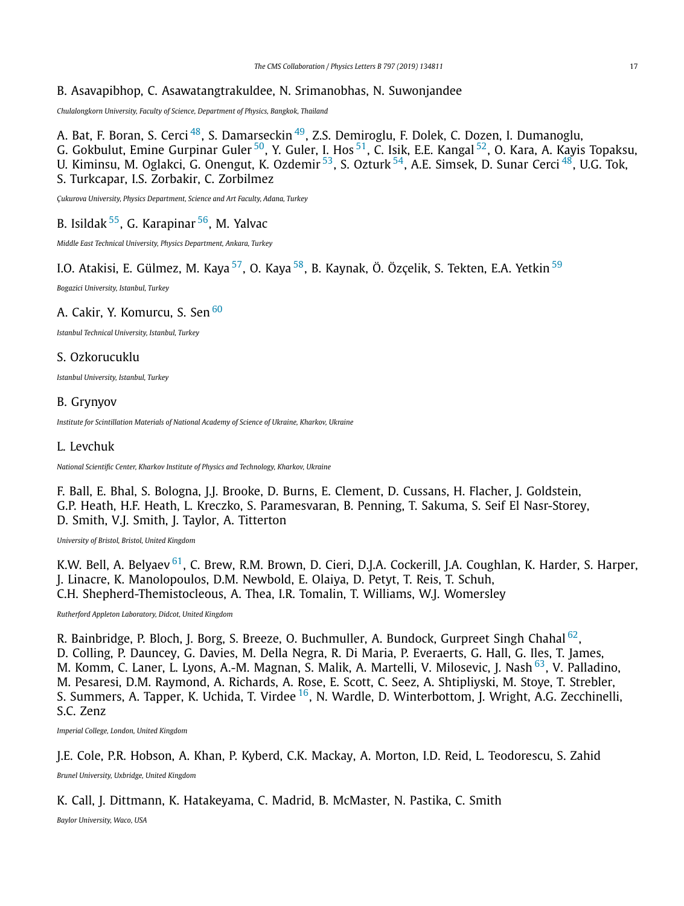## B. Asavapibhop, C. Asawatangtrakuldee, N. Srimanobhas, N. Suwonjandee

*Chulalongkorn University, Faculty of Science, Department of Physics, Bangkok, Thailand*

A. Bat, F. Boran, S. Cerci<sup>48</sup>, S. Damarseckin<sup>[49](#page-21-0)</sup>, Z.S. Demiroglu, F. Dolek, C. Dozen, I. Dumanoglu, G. Gokbulut, Emine Gurpinar Guler [50,](#page-21-0) Y. Guler, I. Hos [51,](#page-21-0) C. Isik, E.E. Kangal [52,](#page-21-0) O. Kara, A. Kayis Topaksu, U. Kiminsu, M. Oglakci, G. Onengut, K. Ozdemir [53](#page-21-0), S. Ozturk [54,](#page-21-0) A.E. Simsek, D. Sunar Cerci [48,](#page-21-0) U.G. Tok, S. Turkcapar, I.S. Zorbakir, C. Zorbilmez

*Çukurova University, Physics Department, Science and Art Faculty, Adana, Turkey*

B. Isildak <sup>55</sup>, G. Karapinar <sup>56</sup>, M. Yalvac

*Middle East Technical University, Physics Department, Ankara, Turkey*

I.O. Atakisi, E. Gülmez, M. Kaya [57,](#page-21-0) O. Kaya [58,](#page-21-0) B. Kaynak, Ö. Özçelik, S. Tekten, E.A. Yetkin [59](#page-21-0)

*Bogazici University, Istanbul, Turkey*

## A. Cakir, Y. Komurcu, S. Sen <sup>[60](#page-21-0)</sup>

*Istanbul Technical University, Istanbul, Turkey*

#### S. Ozkorucuklu

*Istanbul University, Istanbul, Turkey*

#### B. Grynyov

*Institute for Scintillation Materials of National Academy of Science of Ukraine, Kharkov, Ukraine*

#### L. Levchuk

*National Scientific Center, Kharkov Institute of Physics and Technology, Kharkov, Ukraine*

F. Ball, E. Bhal, S. Bologna, J.J. Brooke, D. Burns, E. Clement, D. Cussans, H. Flacher, J. Goldstein, G.P. Heath, H.F. Heath, L. Kreczko, S. Paramesvaran, B. Penning, T. Sakuma, S. Seif El Nasr-Storey, D. Smith, V.J. Smith, J. Taylor, A. Titterton

*University of Bristol, Bristol, United Kingdom*

K.W. Bell, A. Belyaev <sup>61</sup>, C. Brew, R.M. Brown, D. Cieri, D.J.A. Cockerill, J.A. Coughlan, K. Harder, S. Harper, J. Linacre, K. Manolopoulos, D.M. Newbold, E. Olaiya, D. Petyt, T. Reis, T. Schuh, C.H. Shepherd-Themistocleous, A. Thea, I.R. Tomalin, T. Williams, W.J. Womersley

*Rutherford Appleton Laboratory, Didcot, United Kingdom*

R. Bainbridge, P. Bloch, J. Borg, S. Breeze, O. Buchmuller, A. Bundock, Gurpreet Singh Chahal  $62$ , D. Colling, P. Dauncey, G. Davies, M. Della Negra, R. Di Maria, P. Everaerts, G. Hall, G. Iles, T. James, M. Komm, C. Laner, L. Lyons, A.-M. Magnan, S. Malik, A. Martelli, V. Milosevic, J. Nash <sup>63</sup>, V. Palladino, M. Pesaresi, D.M. Raymond, A. Richards, A. Rose, E. Scott, C. Seez, A. Shtipliyski, M. Stoye, T. Strebler, S. Summers, A. Tapper, K. Uchida, T. Virdee <sup>16</sup>, N. Wardle, D. Winterbottom, J. Wright, A.G. Zecchinelli, S.C. Zenz

*Imperial College, London, United Kingdom*

J.E. Cole, P.R. Hobson, A. Khan, P. Kyberd, C.K. Mackay, A. Morton, I.D. Reid, L. Teodorescu, S. Zahid

*Brunel University, Uxbridge, United Kingdom*

K. Call, J. Dittmann, K. Hatakeyama, C. Madrid, B. McMaster, N. Pastika, C. Smith

*Baylor University, Waco, USA*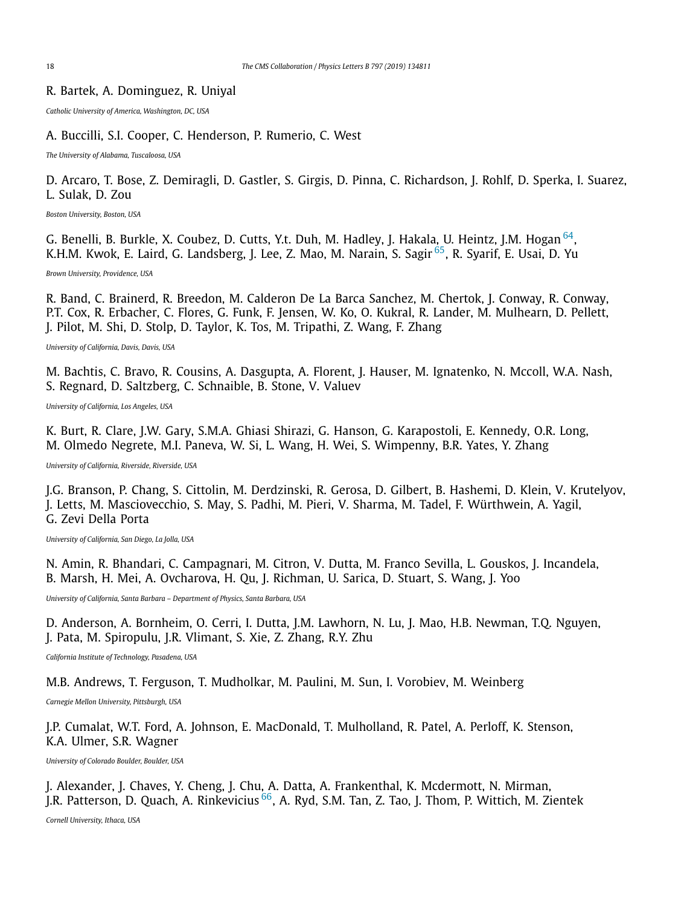#### R. Bartek, A. Dominguez, R. Uniyal

*Catholic University of America, Washington, DC, USA*

## A. Buccilli, S.I. Cooper, C. Henderson, P. Rumerio, C. West

*The University of Alabama, Tuscaloosa, USA*

D. Arcaro, T. Bose, Z. Demiragli, D. Gastler, S. Girgis, D. Pinna, C. Richardson, J. Rohlf, D. Sperka, I. Suarez, L. Sulak, D. Zou

*Boston University, Boston, USA*

G. Benelli, B. Burkle, X. Coubez, D. Cutts, Y.t. Duh, M. Hadley, J. Hakala, U. Heintz, J.M. Hogan [64,](#page-21-0) K.H.M. Kwok, E. Laird, G. Landsberg, J. Lee, Z. Mao, M. Narain, S. Sagir <sup>65</sup>, R. Syarif, E. Usai, D. Yu

*Brown University, Providence, USA*

R. Band, C. Brainerd, R. Breedon, M. Calderon De La Barca Sanchez, M. Chertok, J. Conway, R. Conway, P.T. Cox, R. Erbacher, C. Flores, G. Funk, F. Jensen, W. Ko, O. Kukral, R. Lander, M. Mulhearn, D. Pellett, J. Pilot, M. Shi, D. Stolp, D. Taylor, K. Tos, M. Tripathi, Z. Wang, F. Zhang

*University of California, Davis, Davis, USA*

M. Bachtis, C. Bravo, R. Cousins, A. Dasgupta, A. Florent, J. Hauser, M. Ignatenko, N. Mccoll, W.A. Nash, S. Regnard, D. Saltzberg, C. Schnaible, B. Stone, V. Valuev

*University of California, Los Angeles, USA*

K. Burt, R. Clare, J.W. Gary, S.M.A. Ghiasi Shirazi, G. Hanson, G. Karapostoli, E. Kennedy, O.R. Long, M. Olmedo Negrete, M.I. Paneva, W. Si, L. Wang, H. Wei, S. Wimpenny, B.R. Yates, Y. Zhang

*University of California, Riverside, Riverside, USA*

J.G. Branson, P. Chang, S. Cittolin, M. Derdzinski, R. Gerosa, D. Gilbert, B. Hashemi, D. Klein, V. Krutelyov, J. Letts, M. Masciovecchio, S. May, S. Padhi, M. Pieri, V. Sharma, M. Tadel, F. Würthwein, A. Yagil, G. Zevi Della Porta

*University of California, San Diego, La Jolla, USA*

N. Amin, R. Bhandari, C. Campagnari, M. Citron, V. Dutta, M. Franco Sevilla, L. Gouskos, J. Incandela, B. Marsh, H. Mei, A. Ovcharova, H. Qu, J. Richman, U. Sarica, D. Stuart, S. Wang, J. Yoo

*University of California, Santa Barbara – Department of Physics, Santa Barbara, USA*

D. Anderson, A. Bornheim, O. Cerri, I. Dutta, J.M. Lawhorn, N. Lu, J. Mao, H.B. Newman, T.Q. Nguyen, J. Pata, M. Spiropulu, J.R. Vlimant, S. Xie, Z. Zhang, R.Y. Zhu

*California Institute of Technology, Pasadena, USA*

M.B. Andrews, T. Ferguson, T. Mudholkar, M. Paulini, M. Sun, I. Vorobiev, M. Weinberg

*Carnegie Mellon University, Pittsburgh, USA*

J.P. Cumalat, W.T. Ford, A. Johnson, E. MacDonald, T. Mulholland, R. Patel, A. Perloff, K. Stenson, K.A. Ulmer, S.R. Wagner

*University of Colorado Boulder, Boulder, USA*

J. Alexander, J. Chaves, Y. Cheng, J. Chu, A. Datta, A. Frankenthal, K. Mcdermott, N. Mirman, J.R. Patterson, D. Quach, A. Rinkevicius <sup>66</sup>, A. Ryd, S.M. Tan, Z. Tao, J. Thom, P. Wittich, M. Zientek

*Cornell University, Ithaca, USA*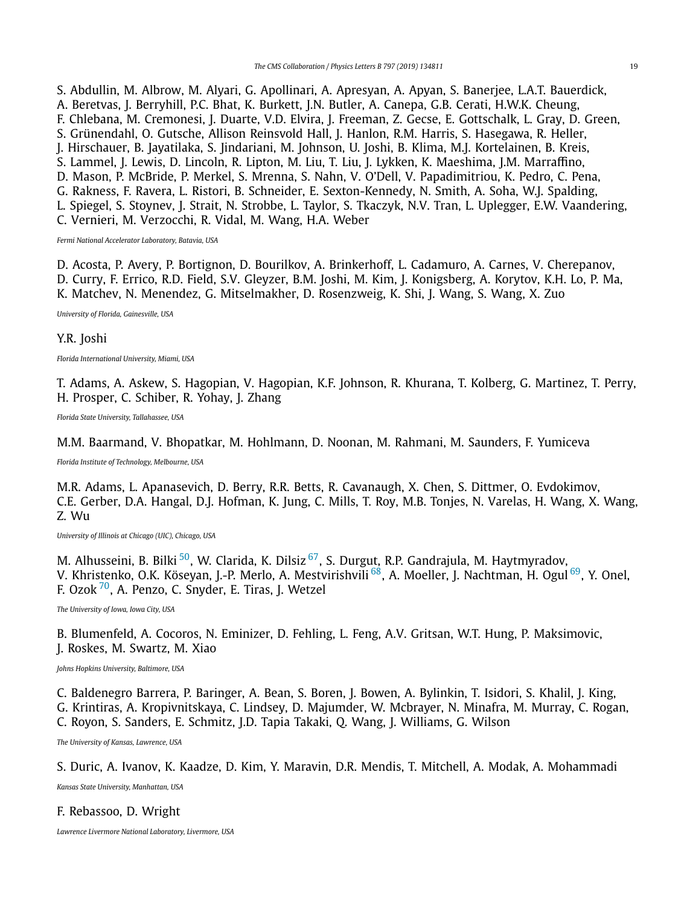S. Abdullin, M. Albrow, M. Alyari, G. Apollinari, A. Apresyan, A. Apyan, S. Banerjee, L.A.T. Bauerdick, A. Beretvas, J. Berryhill, P.C. Bhat, K. Burkett, J.N. Butler, A. Canepa, G.B. Cerati, H.W.K. Cheung, F. Chlebana, M. Cremonesi, J. Duarte, V.D. Elvira, J. Freeman, Z. Gecse, E. Gottschalk, L. Gray, D. Green, S. Grünendahl, O. Gutsche, Allison Reinsvold Hall, J. Hanlon, R.M. Harris, S. Hasegawa, R. Heller, J. Hirschauer, B. Jayatilaka, S. Jindariani, M. Johnson, U. Joshi, B. Klima, M.J. Kortelainen, B. Kreis, S. Lammel, J. Lewis, D. Lincoln, R. Lipton, M. Liu, T. Liu, J. Lykken, K. Maeshima, J.M. Marraffino, D. Mason, P. McBride, P. Merkel, S. Mrenna, S. Nahn, V. O'Dell, V. Papadimitriou, K. Pedro, C. Pena, G. Rakness, F. Ravera, L. Ristori, B. Schneider, E. Sexton-Kennedy, N. Smith, A. Soha, W.J. Spalding, L. Spiegel, S. Stoynev, J. Strait, N. Strobbe, L. Taylor, S. Tkaczyk, N.V. Tran, L. Uplegger, E.W. Vaandering, C. Vernieri, M. Verzocchi, R. Vidal, M. Wang, H.A. Weber

*Fermi National Accelerator Laboratory, Batavia, USA*

D. Acosta, P. Avery, P. Bortignon, D. Bourilkov, A. Brinkerhoff, L. Cadamuro, A. Carnes, V. Cherepanov, D. Curry, F. Errico, R.D. Field, S.V. Gleyzer, B.M. Joshi, M. Kim, J. Konigsberg, A. Korytov, K.H. Lo, P. Ma, K. Matchev, N. Menendez, G. Mitselmakher, D. Rosenzweig, K. Shi, J. Wang, S. Wang, X. Zuo

*University of Florida, Gainesville, USA*

#### Y.R. Joshi

*Florida International University, Miami, USA*

T. Adams, A. Askew, S. Hagopian, V. Hagopian, K.F. Johnson, R. Khurana, T. Kolberg, G. Martinez, T. Perry, H. Prosper, C. Schiber, R. Yohay, J. Zhang

*Florida State University, Tallahassee, USA*

M.M. Baarmand, V. Bhopatkar, M. Hohlmann, D. Noonan, M. Rahmani, M. Saunders, F. Yumiceva

*Florida Institute of Technology, Melbourne, USA*

M.R. Adams, L. Apanasevich, D. Berry, R.R. Betts, R. Cavanaugh, X. Chen, S. Dittmer, O. Evdokimov, C.E. Gerber, D.A. Hangal, D.J. Hofman, K. Jung, C. Mills, T. Roy, M.B. Tonjes, N. Varelas, H. Wang, X. Wang, Z. Wu

*University of Illinois at Chicago (UIC), Chicago, USA*

M. Alhusseini, B. Bilki<sup>50</sup>, W. Clarida, K. Dilsiz<sup>67</sup>, S. Durgut, R.P. Gandrajula, M. Haytmyradov, V. Khristenko, O.K. Köseyan, J.-P. Merlo, A. Mestvirishvili <sup>68</sup>, A. Moeller, J. Nachtman, H. Ogul <sup>69</sup>, Y. Onel, F. Ozok [70](#page-21-0), A. Penzo, C. Snyder, E. Tiras, J. Wetzel

*The University of Iowa, Iowa City, USA*

B. Blumenfeld, A. Cocoros, N. Eminizer, D. Fehling, L. Feng, A.V. Gritsan, W.T. Hung, P. Maksimovic, J. Roskes, M. Swartz, M. Xiao

*Johns Hopkins University, Baltimore, USA*

C. Baldenegro Barrera, P. Baringer, A. Bean, S. Boren, J. Bowen, A. Bylinkin, T. Isidori, S. Khalil, J. King, G. Krintiras, A. Kropivnitskaya, C. Lindsey, D. Majumder, W. Mcbrayer, N. Minafra, M. Murray, C. Rogan, C. Royon, S. Sanders, E. Schmitz, J.D. Tapia Takaki, Q. Wang, J. Williams, G. Wilson

*The University of Kansas, Lawrence, USA*

S. Duric, A. Ivanov, K. Kaadze, D. Kim, Y. Maravin, D.R. Mendis, T. Mitchell, A. Modak, A. Mohammadi

*Kansas State University, Manhattan, USA*

## F. Rebassoo, D. Wright

*Lawrence Livermore National Laboratory, Livermore, USA*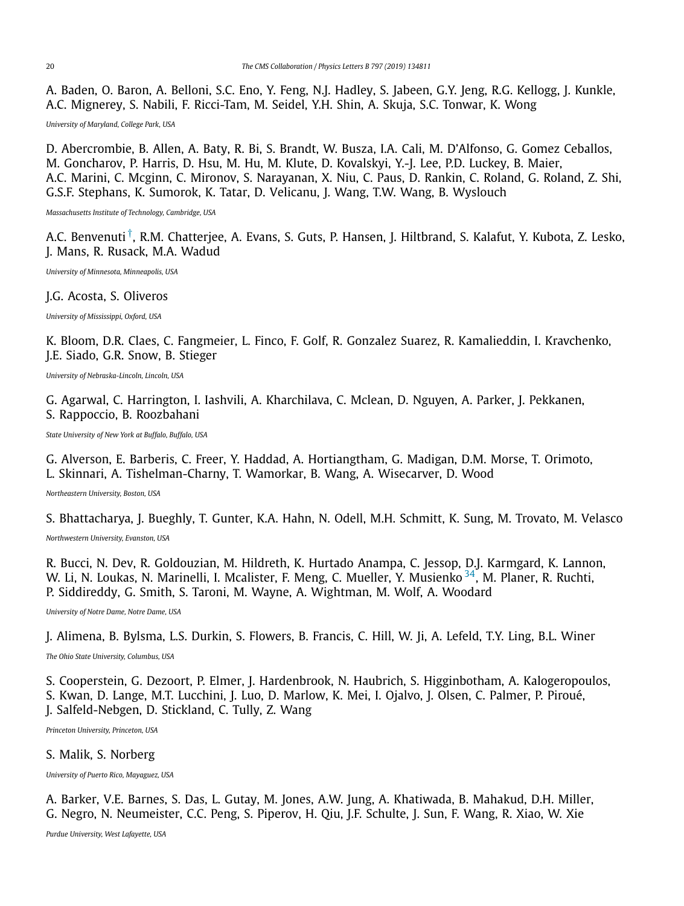A. Baden, O. Baron, A. Belloni, S.C. Eno, Y. Feng, N.J. Hadley, S. Jabeen, G.Y. Jeng, R.G. Kellogg, J. Kunkle, A.C. Mignerey, S. Nabili, F. Ricci-Tam, M. Seidel, Y.H. Shin, A. Skuja, S.C. Tonwar, K. Wong

*University of Maryland, College Park, USA*

D. Abercrombie, B. Allen, A. Baty, R. Bi, S. Brandt, W. Busza, I.A. Cali, M. D'Alfonso, G. Gomez Ceballos, M. Goncharov, P. Harris, D. Hsu, M. Hu, M. Klute, D. Kovalskyi, Y.-J. Lee, P.D. Luckey, B. Maier, A.C. Marini, C. Mcginn, C. Mironov, S. Narayanan, X. Niu, C. Paus, D. Rankin, C. Roland, G. Roland, Z. Shi, G.S.F. Stephans, K. Sumorok, K. Tatar, D. Velicanu, J. Wang, T.W. Wang, B. Wyslouch

*Massachusetts Institute of Technology, Cambridge, USA*

A.C. Benvenuti [†,](#page-20-0) R.M. Chatterjee, A. Evans, S. Guts, P. Hansen, J. Hiltbrand, S. Kalafut, Y. Kubota, Z. Lesko, J. Mans, R. Rusack, M.A. Wadud

*University of Minnesota, Minneapolis, USA*

J.G. Acosta, S. Oliveros

*University of Mississippi, Oxford, USA*

K. Bloom, D.R. Claes, C. Fangmeier, L. Finco, F. Golf, R. Gonzalez Suarez, R. Kamalieddin, I. Kravchenko, J.E. Siado, G.R. Snow, B. Stieger

*University of Nebraska-Lincoln, Lincoln, USA*

G. Agarwal, C. Harrington, I. Iashvili, A. Kharchilava, C. Mclean, D. Nguyen, A. Parker, J. Pekkanen, S. Rappoccio, B. Roozbahani

*State University of New York at Buffalo, Buffalo, USA*

G. Alverson, E. Barberis, C. Freer, Y. Haddad, A. Hortiangtham, G. Madigan, D.M. Morse, T. Orimoto, L. Skinnari, A. Tishelman-Charny, T. Wamorkar, B. Wang, A. Wisecarver, D. Wood

*Northeastern University, Boston, USA*

S. Bhattacharya, J. Bueghly, T. Gunter, K.A. Hahn, N. Odell, M.H. Schmitt, K. Sung, M. Trovato, M. Velasco

*Northwestern University, Evanston, USA*

R. Bucci, N. Dev, R. Goldouzian, M. Hildreth, K. Hurtado Anampa, C. Jessop, D.J. Karmgard, K. Lannon, W. Li, N. Loukas, N. Marinelli, I. Mcalister, F. Meng, C. Mueller, Y. Musienko <sup>34</sup>, M. Planer, R. Ruchti, P. Siddireddy, G. Smith, S. Taroni, M. Wayne, A. Wightman, M. Wolf, A. Woodard

*University of Notre Dame, Notre Dame, USA*

J. Alimena, B. Bylsma, L.S. Durkin, S. Flowers, B. Francis, C. Hill, W. Ji, A. Lefeld, T.Y. Ling, B.L. Winer

*The Ohio State University, Columbus, USA*

S. Cooperstein, G. Dezoort, P. Elmer, J. Hardenbrook, N. Haubrich, S. Higginbotham, A. Kalogeropoulos, S. Kwan, D. Lange, M.T. Lucchini, J. Luo, D. Marlow, K. Mei, I. Ojalvo, J. Olsen, C. Palmer, P. Piroué, J. Salfeld-Nebgen, D. Stickland, C. Tully, Z. Wang

*Princeton University, Princeton, USA*

#### S. Malik, S. Norberg

*University of Puerto Rico, Mayaguez, USA*

A. Barker, V.E. Barnes, S. Das, L. Gutay, M. Jones, A.W. Jung, A. Khatiwada, B. Mahakud, D.H. Miller, G. Negro, N. Neumeister, C.C. Peng, S. Piperov, H. Qiu, J.F. Schulte, J. Sun, F. Wang, R. Xiao, W. Xie

*Purdue University, West Lafayette, USA*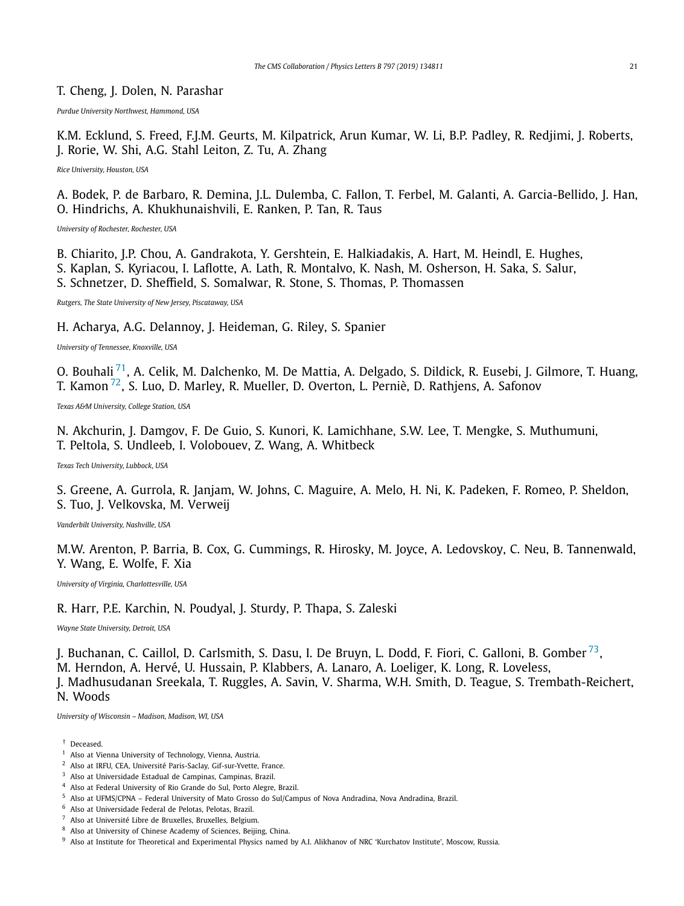#### <span id="page-20-0"></span>T. Cheng, J. Dolen, N. Parashar

*Purdue University Northwest, Hammond, USA*

K.M. Ecklund, S. Freed, F.J.M. Geurts, M. Kilpatrick, Arun Kumar, W. Li, B.P. Padley, R. Redjimi, J. Roberts, J. Rorie, W. Shi, A.G. Stahl Leiton, Z. Tu, A. Zhang

*Rice University, Houston, USA*

A. Bodek, P. de Barbaro, R. Demina, J.L. Dulemba, C. Fallon, T. Ferbel, M. Galanti, A. Garcia-Bellido, J. Han, O. Hindrichs, A. Khukhunaishvili, E. Ranken, P. Tan, R. Taus

*University of Rochester, Rochester, USA*

B. Chiarito, J.P. Chou, A. Gandrakota, Y. Gershtein, E. Halkiadakis, A. Hart, M. Heindl, E. Hughes, S. Kaplan, S. Kyriacou, I. Laflotte, A. Lath, R. Montalvo, K. Nash, M. Osherson, H. Saka, S. Salur, S. Schnetzer, D. Sheffield, S. Somalwar, R. Stone, S. Thomas, P. Thomassen

*Rutgers, The State University of New Jersey, Piscataway, USA*

H. Acharya, A.G. Delannoy, J. Heideman, G. Riley, S. Spanier

*University of Tennessee, Knoxville, USA*

O. Bouhali [71,](#page-21-0) A. Celik, M. Dalchenko, M. De Mattia, A. Delgado, S. Dildick, R. Eusebi, J. Gilmore, T. Huang, T. Kamon  $^{72}$ , S. Luo, D. Marley, R. Mueller, D. Overton, L. Perniè, D. Rathjens, A. Safonov

*Texas A&M University, College Station, USA*

N. Akchurin, J. Damgov, F. De Guio, S. Kunori, K. Lamichhane, S.W. Lee, T. Mengke, S. Muthumuni, T. Peltola, S. Undleeb, I. Volobouev, Z. Wang, A. Whitbeck

*Texas Tech University, Lubbock, USA*

S. Greene, A. Gurrola, R. Janjam, W. Johns, C. Maguire, A. Melo, H. Ni, K. Padeken, F. Romeo, P. Sheldon, S. Tuo, J. Velkovska, M. Verweij

*Vanderbilt University, Nashville, USA*

M.W. Arenton, P. Barria, B. Cox, G. Cummings, R. Hirosky, M. Joyce, A. Ledovskoy, C. Neu, B. Tannenwald, Y. Wang, E. Wolfe, F. Xia

*University of Virginia, Charlottesville, USA*

# R. Harr, P.E. Karchin, N. Poudyal, J. Sturdy, P. Thapa, S. Zaleski

*Wayne State University, Detroit, USA*

J. Buchanan, C. Caillol, D. Carlsmith, S. Dasu, I. De Bruyn, L. Dodd, F. Fiori, C. Galloni, B. Gomber  $^{73}$ , M. Herndon, A. Hervé, U. Hussain, P. Klabbers, A. Lanaro, A. Loeliger, K. Long, R. Loveless, J. Madhusudanan Sreekala, T. Ruggles, A. Savin, V. Sharma, W.H. Smith, D. Teague, S. Trembath-Reichert, N. Woods

*University of Wisconsin – Madison, Madison, WI, USA*

<sup>†</sup> Deceased.

<sup>1</sup> Also at Vienna University of Technology, Vienna, Austria.

<sup>2</sup> Also at IRFU, CEA, Université Paris-Saclay, Gif-sur-Yvette, France.

<sup>3</sup> Also at Universidade Estadual de Campinas, Campinas, Brazil.

<sup>4</sup> Also at Federal University of Rio Grande do Sul, Porto Alegre, Brazil.

<sup>5</sup> Also at UFMS/CPNA – Federal University of Mato Grosso do Sul/Campus of Nova Andradina, Nova Andradina, Brazil.

<sup>6</sup> Also at Universidade Federal de Pelotas, Pelotas, Brazil.

<sup>7</sup> Also at Université Libre de Bruxelles, Bruxelles, Belgium.

<sup>8</sup> Also at University of Chinese Academy of Sciences, Beijing, China.

<sup>&</sup>lt;sup>9</sup> Also at Institute for Theoretical and Experimental Physics named by A.I. Alikhanov of NRC 'Kurchatov Institute', Moscow, Russia.